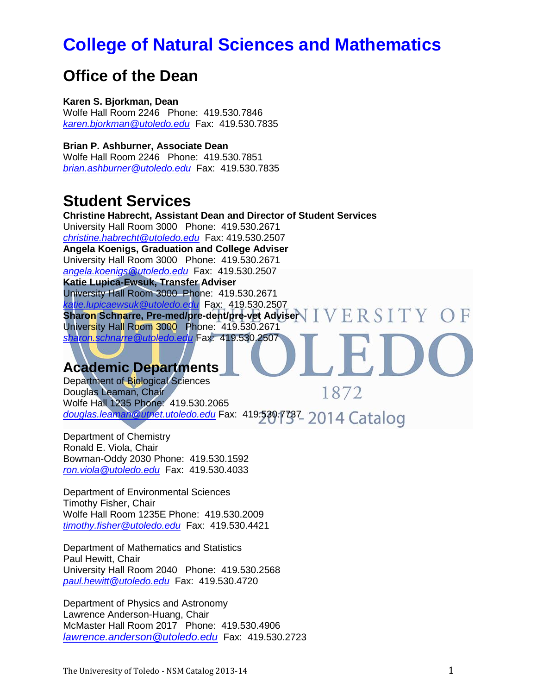# **[College of Natural Sciences and Mathematics](http://www.utoledo.edu/nsm/)**

# **Office of the Dean**

**Karen S. Bjorkman, Dean**  Wolfe Hall Room 2246 Phone: 419.530.7846 *[karen.bjorkman@utoledo.edu](mailto:karen.bjorkman@utoledo.edu)* Fax: 419.530.7835

**Brian P. Ashburner, Associate Dean**  Wolfe Hall Room 2246 Phone: 419.530.7851 *[brian.ashburner@utoledo.edu](mailto:brian.ashburner@utoledo.edu)* Fax: 419.530.7835

# **Student Services**

**Christine Habrecht, Assistant Dean and Director of Student Services**  University Hall Room 3000 Phone: 419.530.2671 *[christine.habrecht@utoledo.edu](mailto:christine.habrecht@utoledo.edu)* Fax: 419.530.2507 **Angela Koenigs, Graduation and College Adviser**  University Hall Room 3000 Phone: 419.530.2671 *[angela.koenigs@utoledo.edu](mailto:angela.koenigs@utoledo.edu)* Fax: 419.530.2507 **Katie Lupica-Ewsuk, Transfer Adviser** University Hall Room 3000 Phone: 419.530.2671 *[katie.lupicaewsuk@utoledo.edu](mailto:katie.lupicaewsuk@utoledo.edu)* Fax: 419.530.2507 VERSITY OF **Sharon Schnarre, Pre-med/pre-dent/pre-vet Adviser**  University Hall Room 3000 Phone: 419.530.2671 *[sharon.schnarre@utoledo.edu](mailto:sharon.schnarre@utoledo.edu)* Fax: 419.530.2507

# **Academic Departments**

Department of Biological Sciences 1872 Douglas Leaman, Chair Wolfe Hall 1235 Phone: 419.530.2065 *[douglas.leaman@utnet.utoledo.edu](mailto:douglas.leaman@utnet.utoledo.edu)* Fax: 419.530.7737

Department of Chemistry Ronald E. Viola, Chair Bowman-Oddy 2030 Phone: 419.530.1592 *[ron.viola@utoledo.edu](mailto:ron.viola@utoledo.edu)* Fax: 419.530.4033

Department of Environmental Sciences Timothy Fisher, Chair Wolfe Hall Room 1235E Phone: 419.530.2009 *[timothy.fisher@utoledo.edu](mailto:timothy.fisher@utoledo.edu)* Fax: 419.530.4421

Department of Mathematics and Statistics Paul Hewitt, Chair University Hall Room 2040 Phone: 419.530.2568 *[paul.hewitt@utoledo.edu](mailto:paul.hewitt@utoledo.edu)* Fax: 419.530.4720

Department of Physics and Astronomy Lawrence Anderson-Huang, Chair McMaster Hall Room 2017 Phone: 419.530.4906 *[lawrence.anderson@utoledo.edu](mailto:lawrence.anderson@utoledo.edu)* Fax: 419.530.2723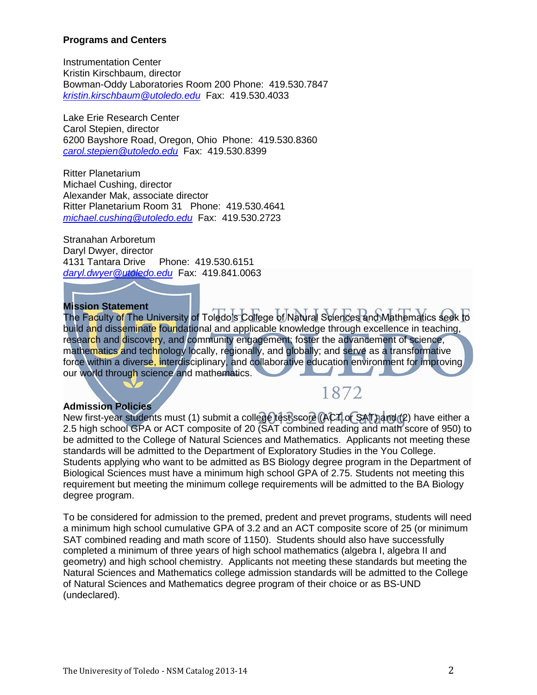# **Programs and Centers**

Instrumentation Center Kristin Kirschbaum, director Bowman-Oddy Laboratories Room 200 Phone: 419.530.7847 *[kristin.kirschbaum@utoledo.edu](mailto:kristin.kirschbaum@utoledo.edu)* Fax: 419.530.4033

Lake Erie Research Center Carol Stepien, director 6200 Bayshore Road, Oregon, Ohio Phone: 419.530.8360 *[carol.stepien@utoledo.edu](mailto:carol.stepien@utoledo.edu)* Fax: 419.530.8399

Ritter Planetarium Michael Cushing, director Alexander Mak, associate director Ritter Planetarium Room 31 Phone: 419.530.4641 *[michael.cushing@utoledo.edu](mailto:michael.cushing@utoledo.edu)* Fax: 419.530.2723

Stranahan Arboretum Daryl Dwyer, director 4131 Tantara Drive Phone: 419.530.6151 *[daryl.dwyer@utoledo.edu](mailto:daryl.dwyer@utoledo.edu)* Fax: 419.841.0063

#### **Mission Statement**

The Faculty of The University of Toledo's College of Natural Sciences and Mathematics seek to build and disseminate foundational and applicable knowledge through excellence in teaching, research and discovery, and community engagement; foster the advancement of science, mathematics and technology locally, regionally, and globally; and serve as a transformative force within a diverse, interdisciplinary, and collaborative education environment for improving our world through science and mathematics.

# **Admission Policies**

# 1872

New first-year students must (1) submit a college test score (ACT or SAT) and (2) have either a 2.5 high school GPA or ACT composite of 20 (SAT combined reading and math score of 950) to be admitted to the College of Natural Sciences and Mathematics. Applicants not meeting these standards will be admitted to the Department of Exploratory Studies in the You College. Students applying who want to be admitted as BS Biology degree program in the Department of Biological Sciences must have a minimum high school GPA of 2.75. Students not meeting this requirement but meeting the minimum college requirements will be admitted to the BA Biology degree program.

To be considered for admission to the premed, predent and prevet programs, students will need a minimum high school cumulative GPA of 3.2 and an ACT composite score of 25 (or minimum SAT combined reading and math score of 1150). Students should also have successfully completed a minimum of three years of high school mathematics (algebra I, algebra II and geometry) and high school chemistry. Applicants not meeting these standards but meeting the Natural Sciences and Mathematics college admission standards will be admitted to the College of Natural Sciences and Mathematics degree program of their choice or as BS-UND (undeclared).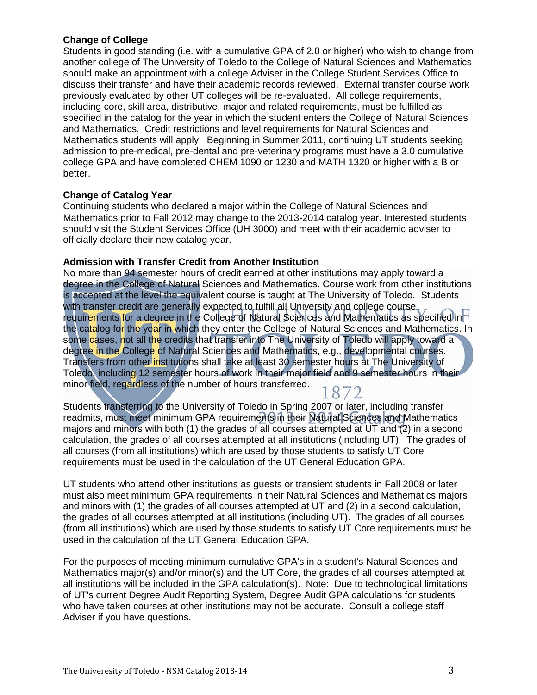# **Change of College**

Students in good standing (i.e. with a cumulative GPA of 2.0 or higher) who wish to change from another college of The University of Toledo to the College of Natural Sciences and Mathematics should make an appointment with a college Adviser in the College Student Services Office to discuss their transfer and have their academic records reviewed. External transfer course work previously evaluated by other UT colleges will be re-evaluated. All college requirements, including core, skill area, distributive, major and related requirements, must be fulfilled as specified in the catalog for the year in which the student enters the College of Natural Sciences and Mathematics. Credit restrictions and level requirements for Natural Sciences and Mathematics students will apply. Beginning in Summer 2011, continuing UT students seeking admission to pre-medical, pre-dental and pre-veterinary programs must have a 3.0 cumulative college GPA and have completed CHEM 1090 or 1230 and MATH 1320 or higher with a B or better.

#### **Change of Catalog Year**

Continuing students who declared a major within the College of Natural Sciences and Mathematics prior to Fall 2012 may change to the 2013-2014 catalog year. Interested students should visit the Student Services Office (UH 3000) and meet with their academic adviser to officially declare their new catalog year.

#### **Admission with Transfer Credit from Another Institution**

No more than 94 semester hours of credit earned at other institutions may apply toward a degree in the College of Natural Sciences and Mathematics. Course work from other institutions is accepted at the level the equivalent course is taught at The University of Toledo. Students with transfer credit are generally expected to fulfill all University and college course. requirements for a degree in the College of Natural Sciences and Mathematics as specified in the catalog for the year in which they enter the College of Natural Sciences and Mathematics. In some cases, not all the credits that transfer into The University of Toledo will apply toward a degree in the College of Natural Sciences and Mathematics, e.g., developmental courses. Transfers from other institutions shall take at least 30 semester hours at The University of Toledo, including 12 semester hours of work in their major field and 9 semester hours in their minor field, regardless of the number of hours transferred.

Students transferring to the University of Toledo in Spring 2007 or later, including transfer readmits, must meet minimum GPA requirements in their Natural Sciences and Mathematics majors and minors with both (1) the grades of all courses attempted at UT and (2) in a second calculation, the grades of all courses attempted at all institutions (including UT). The grades of all courses (from all institutions) which are used by those students to satisfy UT Core requirements must be used in the calculation of the UT General Education GPA.

UT students who attend other institutions as guests or transient students in Fall 2008 or later must also meet minimum GPA requirements in their Natural Sciences and Mathematics majors and minors with (1) the grades of all courses attempted at UT and (2) in a second calculation, the grades of all courses attempted at all institutions (including UT). The grades of all courses (from all institutions) which are used by those students to satisfy UT Core requirements must be used in the calculation of the UT General Education GPA.

For the purposes of meeting minimum cumulative GPA's in a student's Natural Sciences and Mathematics major(s) and/or minor(s) and the UT Core, the grades of all courses attempted at all institutions will be included in the GPA calculation(s). Note: Due to technological limitations of UT's current Degree Audit Reporting System, Degree Audit GPA calculations for students who have taken courses at other institutions may not be accurate. Consult a college staff Adviser if you have questions.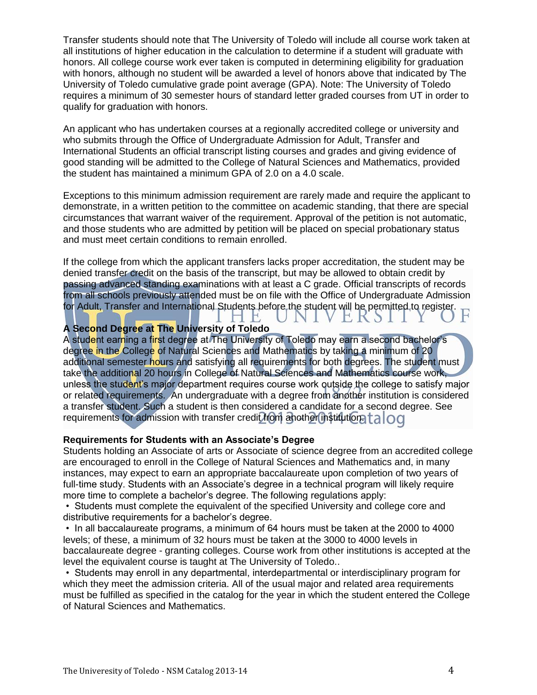Transfer students should note that The University of Toledo will include all course work taken at all institutions of higher education in the calculation to determine if a student will graduate with honors. All college course work ever taken is computed in determining eligibility for graduation with honors, although no student will be awarded a level of honors above that indicated by The University of Toledo cumulative grade point average (GPA). Note: The University of Toledo requires a minimum of 30 semester hours of standard letter graded courses from UT in order to qualify for graduation with honors.

An applicant who has undertaken courses at a regionally accredited college or university and who submits through the Office of Undergraduate Admission for Adult, Transfer and International Students an official transcript listing courses and grades and giving evidence of good standing will be admitted to the College of Natural Sciences and Mathematics, provided the student has maintained a minimum GPA of 2.0 on a 4.0 scale.

Exceptions to this minimum admission requirement are rarely made and require the applicant to demonstrate, in a written petition to the committee on academic standing, that there are special circumstances that warrant waiver of the requirement. Approval of the petition is not automatic, and those students who are admitted by petition will be placed on special probationary status and must meet certain conditions to remain enrolled.

If the college from which the applicant transfers lacks proper accreditation, the student may be denied transfer credit on the basis of the transcript, but may be allowed to obtain credit by passing advanced standing examinations with at least a C grade. Official transcripts of records from all schools previously attended must be on file with the Office of Undergraduate Admission for Adult, Transfer and International Students before the student will be permitted to register.

> T VI

VERSII

 $H$ 

# **A Second Degree at The University of Toledo**

A student earning a first degree at The University of Toledo may earn a second bachelor's degree in the College of Natural Sciences and Mathematics by taking a minimum of 20 additional semester hours and satisfying all requirements for both degrees. The student must take the additional 20 hours in College of Natural Sciences and Mathematics course work, unless the student's major department requires course work outside the college to satisfy major or related requirements. An undergraduate with a degree from another institution is considered a transfer student. Such a student is then considered a candidate for a second degree. See requirements for admission with transfer credit from another institution. [alog

#### **Requirements for Students with an Associate's Degree**

Students holding an Associate of arts or Associate of science degree from an accredited college are encouraged to enroll in the College of Natural Sciences and Mathematics and, in many instances, may expect to earn an appropriate baccalaureate upon completion of two years of full-time study. Students with an Associate's degree in a technical program will likely require more time to complete a bachelor's degree. The following regulations apply:

• Students must complete the equivalent of the specified University and college core and distributive requirements for a bachelor's degree.

• In all baccalaureate programs, a minimum of 64 hours must be taken at the 2000 to 4000 levels; of these, a minimum of 32 hours must be taken at the 3000 to 4000 levels in baccalaureate degree - granting colleges. Course work from other institutions is accepted at the level the equivalent course is taught at The University of Toledo..

• Students may enroll in any departmental, interdepartmental or interdisciplinary program for which they meet the admission criteria. All of the usual major and related area requirements must be fulfilled as specified in the catalog for the year in which the student entered the College of Natural Sciences and Mathematics.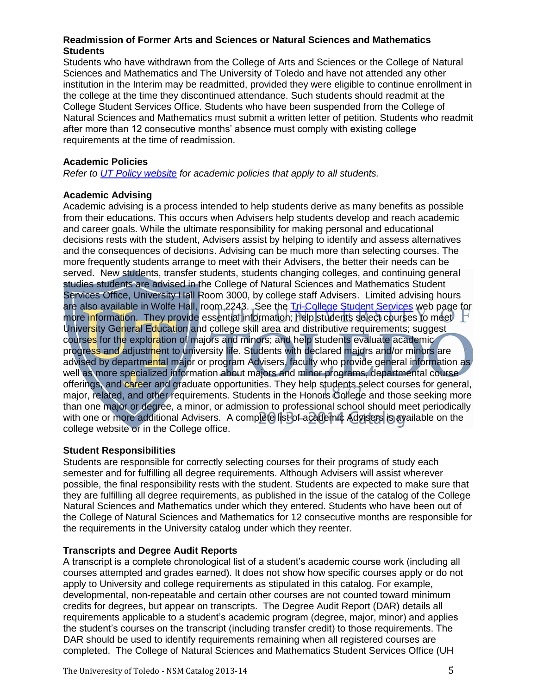# **Readmission of Former Arts and Sciences or Natural Sciences and Mathematics Students**

Students who have withdrawn from the College of Arts and Sciences or the College of Natural Sciences and Mathematics and The University of Toledo and have not attended any other institution in the Interim may be readmitted, provided they were eligible to continue enrollment in the college at the time they discontinued attendance. Such students should readmit at the College Student Services Office. Students who have been suspended from the College of Natural Sciences and Mathematics must submit a written letter of petition. Students who readmit after more than 12 consecutive months' absence must comply with existing college requirements at the time of readmission.

# **Academic Policies**

*Refer to [UT Policy website](http://utoledo.edu/policies/) for academic policies that apply to all students.*

# **Academic Advising**

Academic advising is a process intended to help students derive as many benefits as possible from their educations. This occurs when Advisers help students develop and reach academic and career goals. While the ultimate responsibility for making personal and educational decisions rests with the student, Advisers assist by helping to identify and assess alternatives and the consequences of decisions. Advising can be much more than selecting courses. The more frequently students arrange to meet with their Advisers, the better their needs can be served. New students, transfer students, students changing colleges, and continuing general studies students are advised in the College of Natural Sciences and Mathematics Student Services Office, University Hall Room 3000, by college staff Advisers. Limited advising hours are also available in Wolfe Hall, room 2243. See the [Tri-College Student Services](http://www.utoledo.edu/offices/studentservices/index.html) web page for more information. They provide essential information; help students select courses to meet University General Education and college skill area and distributive requirements; suggest courses for the exploration of majors and minors; and help students evaluate academic progress and adjustment to university life. Students with declared majors and/or minors are advised by departmental major or program Advisers, faculty who provide general information as well as more specialized information about majors and minor programs, departmental course offerings, and career and graduate opportunities. They help students select courses for general, major, related, and other requirements. Students in the Honors College and those seeking more than one major or degree, a minor, or admission to professional school should meet periodically with one or more additional Advisers. A complete list of academic Advisers is available on the college website or in the College office.

# **Student Responsibilities**

Students are responsible for correctly selecting courses for their programs of study each semester and for fulfilling all degree requirements. Although Advisers will assist wherever possible, the final responsibility rests with the student. Students are expected to make sure that they are fulfilling all degree requirements, as published in the issue of the catalog of the College Natural Sciences and Mathematics under which they entered. Students who have been out of the College of Natural Sciences and Mathematics for 12 consecutive months are responsible for the requirements in the University catalog under which they reenter.

# **Transcripts and Degree Audit Reports**

A transcript is a complete chronological list of a student's academic course work (including all courses attempted and grades earned). It does not show how specific courses apply or do not apply to University and college requirements as stipulated in this catalog. For example, developmental, non-repeatable and certain other courses are not counted toward minimum credits for degrees, but appear on transcripts. The Degree Audit Report (DAR) details all requirements applicable to a student's academic program (degree, major, minor) and applies the student's courses on the transcript (including transfer credit) to those requirements. The DAR should be used to identify requirements remaining when all registered courses are completed. The College of Natural Sciences and Mathematics Student Services Office (UH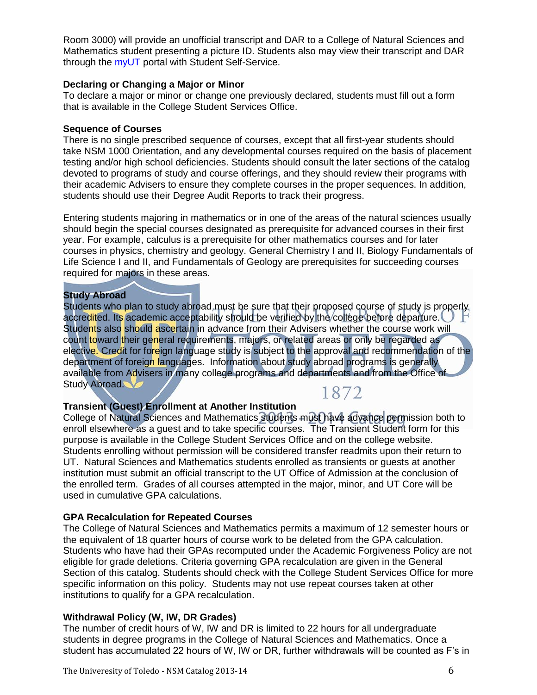Room 3000) will provide an unofficial transcript and DAR to a College of Natural Sciences and Mathematics student presenting a picture ID. Students also may view their transcript and DAR through the [myUT](http://myut.utoledo.edu/) portal with Student Self-Service.

#### **Declaring or Changing a Major or Minor**

To declare a major or minor or change one previously declared, students must fill out a form that is available in the College Student Services Office.

# **Sequence of Courses**

There is no single prescribed sequence of courses, except that all first-year students should take NSM 1000 Orientation, and any developmental courses required on the basis of placement testing and/or high school deficiencies. Students should consult the later sections of the catalog devoted to programs of study and course offerings, and they should review their programs with their academic Advisers to ensure they complete courses in the proper sequences. In addition, students should use their Degree Audit Reports to track their progress.

Entering students majoring in mathematics or in one of the areas of the natural sciences usually should begin the special courses designated as prerequisite for advanced courses in their first year. For example, calculus is a prerequisite for other mathematics courses and for later courses in physics, chemistry and geology. General Chemistry I and II, Biology Fundamentals of Life Science I and II, and Fundamentals of Geology are prerequisites for succeeding courses required for majors in these areas.

# **Study Abroad**

Students who plan to study abroad must be sure that their proposed course of study is properly. accredited. Its academic acceptability should be verified by the college before departure. Students also should ascertain in advance from their Advisers whether the course work will count toward their general requirements, majors, or related areas or only be regarded as elective. Credit for foreign language study is subject to the approval and recommendation of the department of foreign languages. Information about study abroad programs is generally available from Advisers in many college programs and departments and from the Office of Study Abroad.

# 1872

# **Transient (Guest) Enrollment at Another Institution**

College of Natural Sciences and Mathematics students must have advance permission both to enroll elsewhere as a guest and to take specific courses. The Transient Student form for this purpose is available in the College Student Services Office and on the college website. Students enrolling without permission will be considered transfer readmits upon their return to UT. Natural Sciences and Mathematics students enrolled as transients or guests at another institution must submit an official transcript to the UT Office of Admission at the conclusion of the enrolled term. Grades of all courses attempted in the major, minor, and UT Core will be used in cumulative GPA calculations.

# **GPA Recalculation for Repeated Courses**

The College of Natural Sciences and Mathematics permits a maximum of 12 semester hours or the equivalent of 18 quarter hours of course work to be deleted from the GPA calculation. Students who have had their GPAs recomputed under the Academic Forgiveness Policy are not eligible for grade deletions. Criteria governing GPA recalculation are given in the General Section of this catalog. Students should check with the College Student Services Office for more specific information on this policy. Students may not use repeat courses taken at other institutions to qualify for a GPA recalculation.

# **Withdrawal Policy (W, IW, DR Grades)**

The number of credit hours of W, IW and DR is limited to 22 hours for all undergraduate students in degree programs in the College of Natural Sciences and Mathematics. Once a student has accumulated 22 hours of W, IW or DR, further withdrawals will be counted as F's in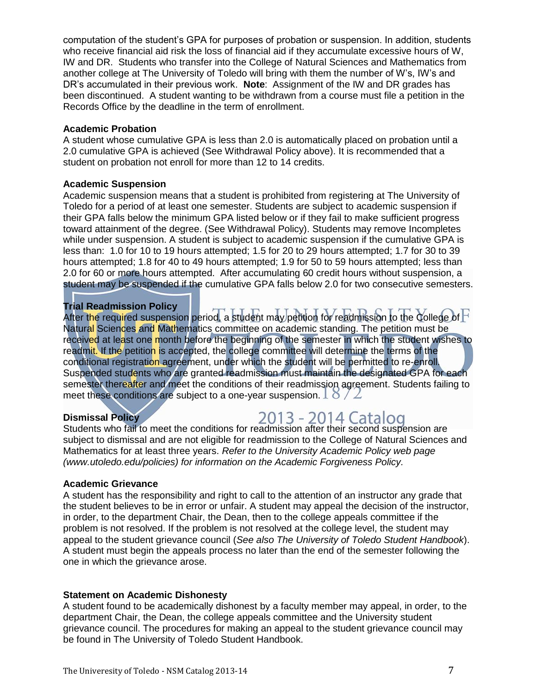computation of the student's GPA for purposes of probation or suspension. In addition, students who receive financial aid risk the loss of financial aid if they accumulate excessive hours of W, IW and DR. Students who transfer into the College of Natural Sciences and Mathematics from another college at The University of Toledo will bring with them the number of W's, IW's and DR's accumulated in their previous work. **Note**: Assignment of the IW and DR grades has been discontinued. A student wanting to be withdrawn from a course must file a petition in the Records Office by the deadline in the term of enrollment.

#### **Academic Probation**

A student whose cumulative GPA is less than 2.0 is automatically placed on probation until a 2.0 cumulative GPA is achieved (See Withdrawal Policy above). It is recommended that a student on probation not enroll for more than 12 to 14 credits.

#### **Academic Suspension**

Academic suspension means that a student is prohibited from registering at The University of Toledo for a period of at least one semester. Students are subject to academic suspension if their GPA falls below the minimum GPA listed below or if they fail to make sufficient progress toward attainment of the degree. (See Withdrawal Policy). Students may remove Incompletes while under suspension. A student is subject to academic suspension if the cumulative GPA is less than: 1.0 for 10 to 19 hours attempted; 1.5 for 20 to 29 hours attempted; 1.7 for 30 to 39 hours attempted; 1.8 for 40 to 49 hours attempted; 1.9 for 50 to 59 hours attempted; less than 2.0 for 60 or more hours attempted. After accumulating 60 credit hours without suspension, a student may be suspended if the cumulative GPA falls below 2.0 for two consecutive semesters.

# **Trial Readmission Policy**

After the required suspension period, a student may petition for readmission to the College of  $\Gamma$ Natural Sciences and Mathematics committee on academic standing. The petition must be received at least one month before the beginning of the semester in which the student wishes to readmit. If the petition is accepted, the college committee will determine the terms of the conditional registration agreement, under which the student will be permitted to re-enroll. Suspended students who are granted readmission must maintain the designated GPA for each semester thereafter and meet the conditions of their readmission agreement. Students failing to meet these conditions are subject to a one-year suspension.  $\Box \bullet / \Box$ 

# **Dismissal Policy**

# 2013 - 2014 Catalog

Students who fail to meet the conditions for readmission after their second suspension are subject to dismissal and are not eligible for readmission to the College of Natural Sciences and Mathematics for at least three years. *Refer to the University Academic Policy web page (www.utoledo.edu/policies) for information on the Academic Forgiveness Policy.* 

#### **Academic Grievance**

A student has the responsibility and right to call to the attention of an instructor any grade that the student believes to be in error or unfair. A student may appeal the decision of the instructor, in order, to the department Chair, the Dean, then to the college appeals committee if the problem is not resolved. If the problem is not resolved at the college level, the student may appeal to the student grievance council (*See also The University of Toledo Student Handbook*). A student must begin the appeals process no later than the end of the semester following the one in which the grievance arose.

#### **Statement on Academic Dishonesty**

A student found to be academically dishonest by a faculty member may appeal, in order, to the department Chair, the Dean, the college appeals committee and the University student grievance council. The procedures for making an appeal to the student grievance council may be found in The University of Toledo Student Handbook.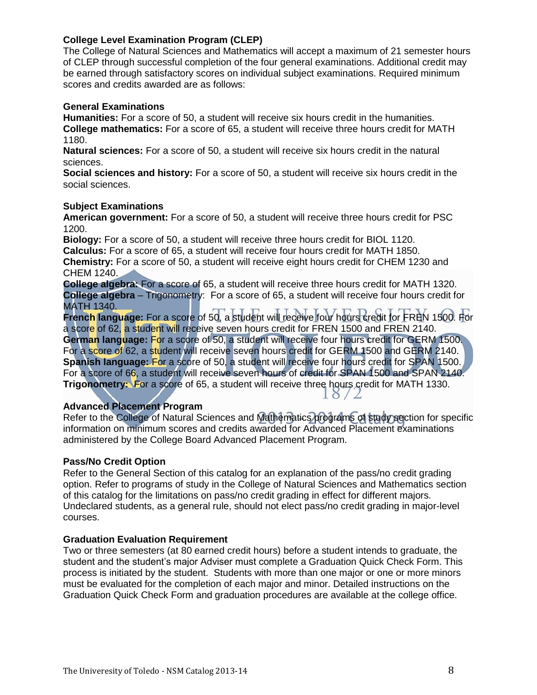# **College Level Examination Program (CLEP)**

The College of Natural Sciences and Mathematics will accept a maximum of 21 semester hours of CLEP through successful completion of the four general examinations. Additional credit may be earned through satisfactory scores on individual subject examinations. Required minimum scores and credits awarded are as follows:

#### **General Examinations**

**Humanities:** For a score of 50, a student will receive six hours credit in the humanities. **College mathematics:** For a score of 65, a student will receive three hours credit for MATH 1180.

**Natural sciences:** For a score of 50, a student will receive six hours credit in the natural sciences.

**Social sciences and history:** For a score of 50, a student will receive six hours credit in the social sciences.

#### **Subject Examinations**

**American government:** For a score of 50, a student will receive three hours credit for PSC 1200.

**Biology:** For a score of 50, a student will receive three hours credit for BIOL 1120.

**Calculus:** For a score of 65, a student will receive four hours credit for MATH 1850.

**Chemistry:** For a score of 50, a student will receive eight hours credit for CHEM 1230 and CHEM 1240.

**College algebra:** For a score of 65, a student will receive three hours credit for MATH 1320. **College algebra** – Trigonometry: For a score of 65, a student will receive four hours credit for MATH 1340.

**French language:** For a score of 50, a student will receive four hours credit for FREN 1500. For a score of 62, a student will receive seven hours credit for FREN 1500 and FREN 2140. **German language:** For a score of 50, a student will receive four hours credit for GERM 1500. For a score of 62, a student will receive seven hours credit for GERM 1500 and GERM 2140. **Spanish language:** For a score of 50, a student will receive four hours credit for SPAN 1500. For a score of 66, a student will receive seven hours of credit for SPAN 1500 and SPAN 2140. **Trigonometry:** For a score of 65, a student will receive three hours credit for MATH 1330.  $8/2$ 

# **Advanced Placement Program**

Refer to the College of Natural Sciences and Mathematics programs of study section for specific information on minimum scores and credits awarded for Advanced Placement examinations administered by the College Board Advanced Placement Program.

#### **Pass/No Credit Option**

Refer to the General Section of this catalog for an explanation of the pass/no credit grading option. Refer to programs of study in the College of Natural Sciences and Mathematics section of this catalog for the limitations on pass/no credit grading in effect for different majors. Undeclared students, as a general rule, should not elect pass/no credit grading in major-level courses.

#### **Graduation Evaluation Requirement**

Two or three semesters (at 80 earned credit hours) before a student intends to graduate, the student and the student's major Adviser must complete a Graduation Quick Check Form. This process is initiated by the student. Students with more than one major or one or more minors must be evaluated for the completion of each major and minor. Detailed instructions on the Graduation Quick Check Form and graduation procedures are available at the college office.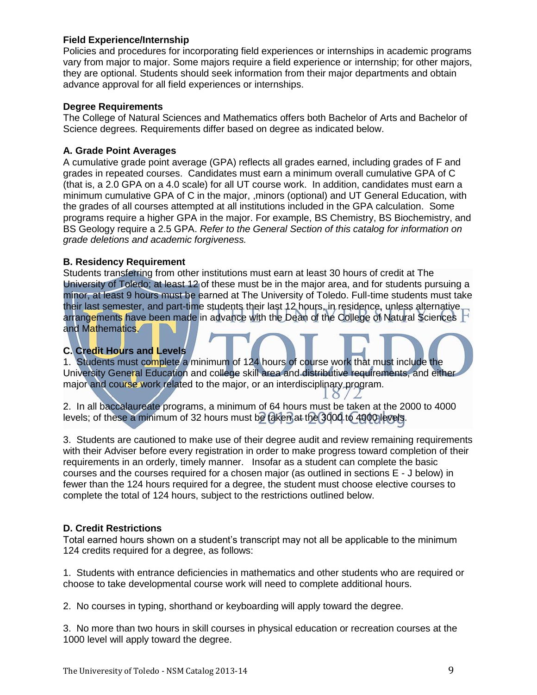# **Field Experience/Internship**

Policies and procedures for incorporating field experiences or internships in academic programs vary from major to major. Some majors require a field experience or internship; for other majors, they are optional. Students should seek information from their major departments and obtain advance approval for all field experiences or internships.

#### **Degree Requirements**

The College of Natural Sciences and Mathematics offers both Bachelor of Arts and Bachelor of Science degrees. Requirements differ based on degree as indicated below.

# **A. Grade Point Averages**

A cumulative grade point average (GPA) reflects all grades earned, including grades of F and grades in repeated courses. Candidates must earn a minimum overall cumulative GPA of C (that is, a 2.0 GPA on a 4.0 scale) for all UT course work. In addition, candidates must earn a minimum cumulative GPA of C in the major, ,minors (optional) and UT General Education, with the grades of all courses attempted at all institutions included in the GPA calculation. Some programs require a higher GPA in the major. For example, BS Chemistry, BS Biochemistry, and BS Geology require a 2.5 GPA. *Refer to the General Section of this catalog for information on grade deletions and academic forgiveness.* 

#### **B. Residency Requirement**

Students transferring from other institutions must earn at least 30 hours of credit at The University of Toledo; at least 12 of these must be in the major area, and for students pursuing a minor, at least 9 hours must be earned at The University of Toledo. Full-time students must take their last semester, and part-time students their last 12 hours, in residence, unless alternative arrangements have been made in advance with the Dean of the College of Natural Sciences and Mathematics.

# **C. Credit Hours and Levels**

1. Students must complete a minimum of 124 hours of course work that must include the University General Education and college skill area and distributive requirements, and either major and course work related to the major, or an interdisciplinary program.

2. In all baccalaureate programs, a minimum of 64 hours must be taken at the 2000 to 4000 levels; of these a minimum of 32 hours must be taken at the 3000 to 4000 levels.

3. Students are cautioned to make use of their degree audit and review remaining requirements with their Adviser before every registration in order to make progress toward completion of their requirements in an orderly, timely manner. Insofar as a student can complete the basic courses and the courses required for a chosen major (as outlined in sections E - J below) in fewer than the 124 hours required for a degree, the student must choose elective courses to complete the total of 124 hours, subject to the restrictions outlined below.

# **D. Credit Restrictions**

Total earned hours shown on a student's transcript may not all be applicable to the minimum 124 credits required for a degree, as follows:

1. Students with entrance deficiencies in mathematics and other students who are required or choose to take developmental course work will need to complete additional hours.

2. No courses in typing, shorthand or keyboarding will apply toward the degree.

3. No more than two hours in skill courses in physical education or recreation courses at the 1000 level will apply toward the degree.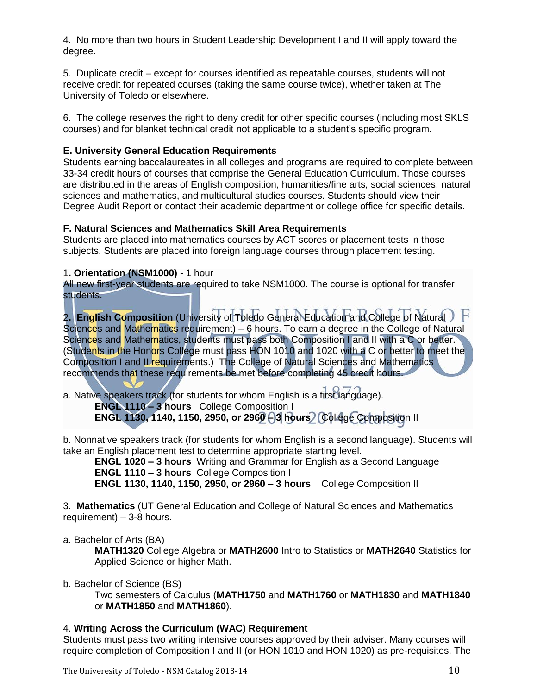4. No more than two hours in Student Leadership Development I and II will apply toward the degree.

5. Duplicate credit – except for courses identified as repeatable courses, students will not receive credit for repeated courses (taking the same course twice), whether taken at The University of Toledo or elsewhere.

6. The college reserves the right to deny credit for other specific courses (including most SKLS courses) and for blanket technical credit not applicable to a student's specific program.

# **E. University General Education Requirements**

Students earning baccalaureates in all colleges and programs are required to complete between 33-34 credit hours of courses that comprise the General Education Curriculum. Those courses are distributed in the areas of English composition, humanities/fine arts, social sciences, natural sciences and mathematics, and multicultural studies courses. Students should view their Degree Audit Report or contact their academic department or college office for specific details.

# **F. Natural Sciences and Mathematics Skill Area Requirements**

Students are placed into mathematics courses by ACT scores or placement tests in those subjects. Students are placed into foreign language courses through placement testing.

# 1**. Orientation (NSM1000)** - 1 hour

All new first-year students are required to take NSM1000. The course is optional for transfer students.

2**. English Composition** (University of Toledo General Education and College of Natural Sciences and Mathematics requirement) – 6 hours. To earn a degree in the College of Natural Sciences and Mathematics, students must pass both Composition I and II with a C or better. (Students in the Honors College must pass HON 1010 and 1020 with a C or better to meet the Composition I and II requirements.) The College of Natural Sciences and Mathematics recommends that these requirements be met before completing 45 credit hours.

a. Native speakers track (for students for whom English is a first language).  **ENGL 1110 – 3 hours** College Composition I  **ENGL 1130, 1140, 1150, 2950, or 2960 – 3 hours** College Composition II

b. Nonnative speakers track (for students for whom English is a second language). Students will take an English placement test to determine appropriate starting level.

**ENGL 1020 – 3 hours** Writing and Grammar for English as a Second Language  **ENGL 1110 – 3 hours** College Composition I **ENGL 1130, 1140, 1150, 2950, or 2960 – 3 hours** College Composition II

3. **Mathematics** (UT General Education and College of Natural Sciences and Mathematics requirement) – 3-8 hours.

# a. Bachelor of Arts (BA)

**MATH1320** College Algebra or **MATH2600** Intro to Statistics or **MATH2640** Statistics for Applied Science or higher Math.

# b. Bachelor of Science (BS)

Two semesters of Calculus (**MATH1750** and **MATH1760** or **MATH1830** and **MATH1840** or **MATH1850** and **MATH1860**).

# 4. **Writing Across the Curriculum (WAC) Requirement**

Students must pass two writing intensive courses approved by their adviser. Many courses will require completion of Composition I and II (or HON 1010 and HON 1020) as pre-requisites. The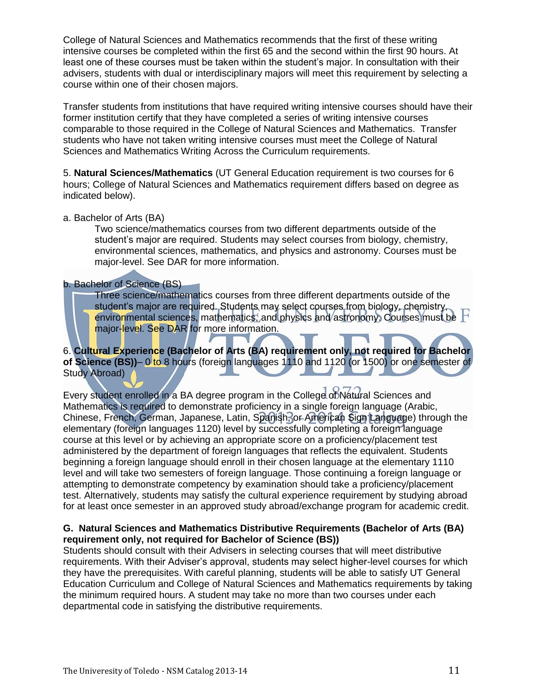College of Natural Sciences and Mathematics recommends that the first of these writing intensive courses be completed within the first 65 and the second within the first 90 hours. At least one of these courses must be taken within the student's major. In consultation with their advisers, students with dual or interdisciplinary majors will meet this requirement by selecting a course within one of their chosen majors.

Transfer students from institutions that have required writing intensive courses should have their former institution certify that they have completed a series of writing intensive courses comparable to those required in the College of Natural Sciences and Mathematics. Transfer students who have not taken writing intensive courses must meet the College of Natural Sciences and Mathematics Writing Across the Curriculum requirements.

5. **Natural Sciences/Mathematics** (UT General Education requirement is two courses for 6 hours; College of Natural Sciences and Mathematics requirement differs based on degree as indicated below).

#### a. Bachelor of Arts (BA)

Two science/mathematics courses from two different departments outside of the student's major are required. Students may select courses from biology, chemistry, environmental sciences, mathematics, and physics and astronomy. Courses must be major-level. See DAR for more information.

#### b. Bachelor of Science (BS)

Three science/mathematics courses from three different departments outside of the student's major are required. Students may select courses from biology, chemistry, environmental sciences, mathematics, and physics and astronomy. Courses must be major-level. See DAR for more information.

# 6. **Cultural Experience (Bachelor of Arts (BA) requirement only, not required for Bachelor of Science (BS))**– 0 to 8 hours (foreign languages 1110 and 1120 (or 1500) or one semester of Study Abroad)

Every student enrolled in a BA degree program in the College of Natural Sciences and Mathematics is required to demonstrate proficiency in a single foreign language (Arabic, Chinese, French, German, Japanese, Latin, Spanish, or American Sign Language) through the elementary (foreign languages 1120) level by successfully completing a foreign language course at this level or by achieving an appropriate score on a proficiency/placement test administered by the department of foreign languages that reflects the equivalent. Students beginning a foreign language should enroll in their chosen language at the elementary 1110 level and will take two semesters of foreign language. Those continuing a foreign language or attempting to demonstrate competency by examination should take a proficiency/placement test. Alternatively, students may satisfy the cultural experience requirement by studying abroad for at least once semester in an approved study abroad/exchange program for academic credit.

# **G. Natural Sciences and Mathematics Distributive Requirements (Bachelor of Arts (BA) requirement only, not required for Bachelor of Science (BS))**

Students should consult with their Advisers in selecting courses that will meet distributive requirements. With their Adviser's approval, students may select higher-level courses for which they have the prerequisites. With careful planning, students will be able to satisfy UT General Education Curriculum and College of Natural Sciences and Mathematics requirements by taking the minimum required hours. A student may take no more than two courses under each departmental code in satisfying the distributive requirements.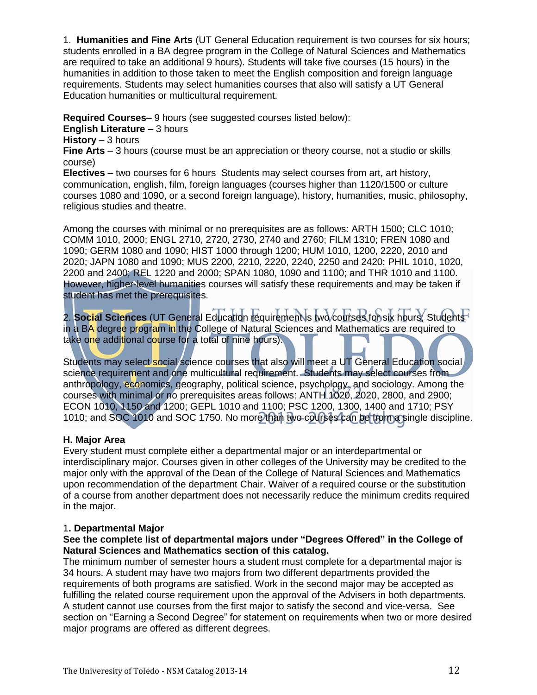1. **Humanities and Fine Arts** (UT General Education requirement is two courses for six hours; students enrolled in a BA degree program in the College of Natural Sciences and Mathematics are required to take an additional 9 hours). Students will take five courses (15 hours) in the humanities in addition to those taken to meet the English composition and foreign language requirements. Students may select humanities courses that also will satisfy a UT General Education humanities or multicultural requirement.

**Required Courses**– 9 hours (see suggested courses listed below):

**English Literature** – 3 hours

**History** – 3 hours

**Fine Arts** – 3 hours (course must be an appreciation or theory course, not a studio or skills course)

**Electives** – two courses for 6 hours Students may select courses from art, art history, communication, english, film, foreign languages (courses higher than 1120/1500 or culture courses 1080 and 1090, or a second foreign language), history, humanities, music, philosophy, religious studies and theatre.

Among the courses with minimal or no prerequisites are as follows: ARTH 1500; CLC 1010; COMM 1010, 2000; ENGL 2710, 2720, 2730, 2740 and 2760; FILM 1310; FREN 1080 and 1090; GERM 1080 and 1090; HIST 1000 through 1200; HUM 1010, 1200, 2220, 2010 and 2020; JAPN 1080 and 1090; MUS 2200, 2210, 2220, 2240, 2250 and 2420; PHIL 1010, 1020, 2200 and 2400; REL 1220 and 2000; SPAN 1080, 1090 and 1100; and THR 1010 and 1100. However, higher-level humanities courses will satisfy these requirements and may be taken if student has met the prerequisites.

2. **Social Sciences** (UT General Education requirement is two courses for six hours; Students in a BA degree program in the College of Natural Sciences and Mathematics are required to take one additional course for a total of nine hours).

Students may select social science courses that also will meet a UT General Education social science requirement and one multicultural requirement. Students may select courses from anthropology, economics, geography, political science, psychology, and sociology. Among the courses with minimal or no prerequisites areas follows: ANTH 1020, 2020, 2800, and 2900; ECON 1010, 1150 and 1200; GEPL 1010 and 1100; PSC 1200, 1300, 1400 and 1710; PSY 1010; and SOC 1010 and SOC 1750. No more than two courses can be from a single discipline.

# **H. Major Area**

Every student must complete either a departmental major or an interdepartmental or interdisciplinary major. Courses given in other colleges of the University may be credited to the major only with the approval of the Dean of the College of Natural Sciences and Mathematics upon recommendation of the department Chair. Waiver of a required course or the substitution of a course from another department does not necessarily reduce the minimum credits required in the major.

# 1**. Departmental Major**

# **See the complete list of departmental majors under "Degrees Offered" in the College of Natural Sciences and Mathematics section of this catalog.**

The minimum number of semester hours a student must complete for a departmental major is 34 hours. A student may have two majors from two different departments provided the requirements of both programs are satisfied. Work in the second major may be accepted as fulfilling the related course requirement upon the approval of the Advisers in both departments. A student cannot use courses from the first major to satisfy the second and vice-versa. See section on "Earning a Second Degree" for statement on requirements when two or more desired major programs are offered as different degrees.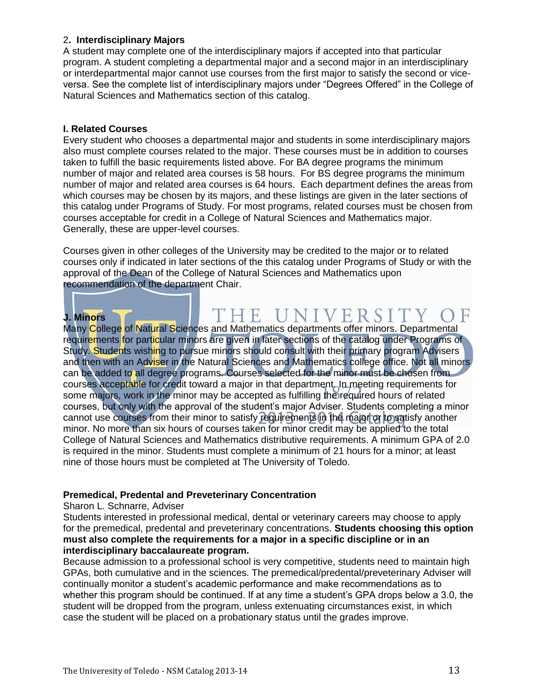# 2**. Interdisciplinary Majors**

A student may complete one of the interdisciplinary majors if accepted into that particular program. A student completing a departmental major and a second major in an interdisciplinary or interdepartmental major cannot use courses from the first major to satisfy the second or viceversa. See the complete list of interdisciplinary majors under "Degrees Offered" in the College of Natural Sciences and Mathematics section of this catalog.

# **I. Related Courses**

Every student who chooses a departmental major and students in some interdisciplinary majors also must complete courses related to the major. These courses must be in addition to courses taken to fulfill the basic requirements listed above. For BA degree programs the minimum number of major and related area courses is 58 hours. For BS degree programs the minimum number of major and related area courses is 64 hours. Each department defines the areas from which courses may be chosen by its majors, and these listings are given in the later sections of this catalog under Programs of Study. For most programs, related courses must be chosen from courses acceptable for credit in a College of Natural Sciences and Mathematics major. Generally, these are upper-level courses.

Courses given in other colleges of the University may be credited to the major or to related courses only if indicated in later sections of the this catalog under Programs of Study or with the approval of the Dean of the College of Natural Sciences and Mathematics upon recommendation of the department Chair.

# THE UNIVERSITY ( **J. Minors**

Many College of Natural Sciences and Mathematics departments offer minors. Departmental requirements for particular minors are given in later sections of the catalog under Programs of Study. Students wishing to pursue minors should consult with their primary program Advisers and then with an Adviser in the Natural Sciences and Mathematics college office. Not all minors can be added to all degree programs. Courses selected for the minor must be chosen from courses acceptable for credit toward a major in that department. In meeting requirements for some majors, work in the minor may be accepted as fulfilling the required hours of related courses, but only with the approval of the student's major Adviser. Students completing a minor cannot use courses from their minor to satisfy requirements in the major or to satisfy another minor. No more than six hours of courses taken for minor credit may be applied to the total College of Natural Sciences and Mathematics distributive requirements. A minimum GPA of 2.0 is required in the minor. Students must complete a minimum of 21 hours for a minor; at least nine of those hours must be completed at The University of Toledo.

# **Premedical, Predental and Preveterinary Concentration**

#### Sharon L. Schnarre, Adviser

Students interested in professional medical, dental or veterinary careers may choose to apply for the premedical, predental and preveterinary concentrations. **Students choosing this option must also complete the requirements for a major in a specific discipline or in an interdisciplinary baccalaureate program.** 

Because admission to a professional school is very competitive, students need to maintain high GPAs, both cumulative and in the sciences. The premedical/predental/preveterinary Adviser will continually monitor a student's academic performance and make recommendations as to whether this program should be continued. If at any time a student's GPA drops below a 3.0, the student will be dropped from the program, unless extenuating circumstances exist, in which case the student will be placed on a probationary status until the grades improve.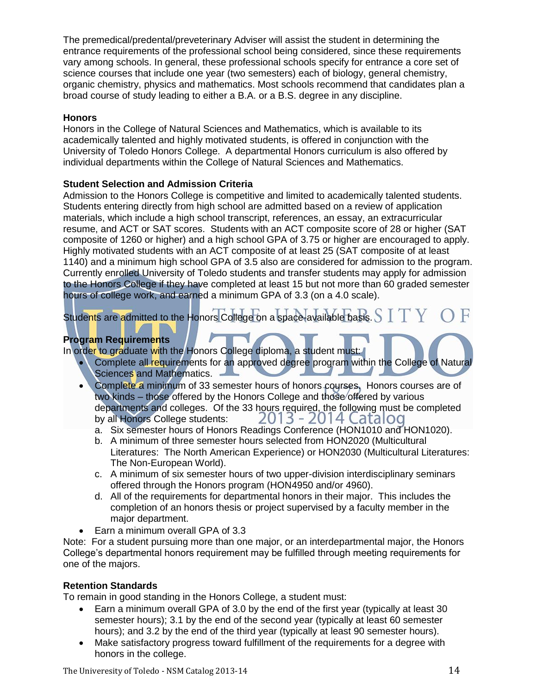The premedical/predental/preveterinary Adviser will assist the student in determining the entrance requirements of the professional school being considered, since these requirements vary among schools. In general, these professional schools specify for entrance a core set of science courses that include one year (two semesters) each of biology, general chemistry, organic chemistry, physics and mathematics. Most schools recommend that candidates plan a broad course of study leading to either a B.A. or a B.S. degree in any discipline.

# **Honors**

Honors in the College of Natural Sciences and Mathematics, which is available to its academically talented and highly motivated students, is offered in conjunction with the University of Toledo Honors College. A departmental Honors curriculum is also offered by individual departments within the College of Natural Sciences and Mathematics.

# **Student Selection and Admission Criteria**

Admission to the Honors College is competitive and limited to academically talented students. Students entering directly from high school are admitted based on a review of application materials, which include a high school transcript, references, an essay, an extracurricular resume, and ACT or SAT scores. Students with an ACT composite score of 28 or higher (SAT composite of 1260 or higher) and a high school GPA of 3.75 or higher are encouraged to apply. Highly motivated students with an ACT composite of at least 25 (SAT composite of at least 1140) and a minimum high school GPA of 3.5 also are considered for admission to the program. Currently enrolled University of Toledo students and transfer students may apply for admission to the Honors College if they have completed at least 15 but not more than 60 graded semester hours of college work, and earned a minimum GPA of 3.3 (on a 4.0 scale).

Students are admitted to the Honors College on a space-available basis.  $\text{S}$   $\text{I}$   $\text{Y}$   $\text{C}$ 

# **Program Requirements**

In order to graduate with the Honors College diploma, a student must:

- Complete all requirements for an approved degree program within the College of Natural Sciences and Mathematics. -
- Complete a minimum of 33 semester hours of honors courses. Honors courses are of two kinds – those offered by the Honors College and those offered by various departments and colleges. Of the 33 hours required, the following must be completed by all Honors College students: 2013 - 2014 Catalog
	- a. Six semester hours of Honors Readings Conference (HON1010 and HON1020).
	- b. A minimum of three semester hours selected from HON2020 (Multicultural Literatures: The North American Experience) or HON2030 (Multicultural Literatures: The Non-European World).
	- c. A minimum of six semester hours of two upper-division interdisciplinary seminars offered through the Honors program (HON4950 and/or 4960).
	- d. All of the requirements for departmental honors in their major. This includes the completion of an honors thesis or project supervised by a faculty member in the major department.
- Earn a minimum overall GPA of 3.3

Note: For a student pursuing more than one major, or an interdepartmental major, the Honors College's departmental honors requirement may be fulfilled through meeting requirements for one of the majors.

# **Retention Standards**

To remain in good standing in the Honors College, a student must:

- Earn a minimum overall GPA of 3.0 by the end of the first year (typically at least 30 semester hours); 3.1 by the end of the second year (typically at least 60 semester hours); and 3.2 by the end of the third year (typically at least 90 semester hours).
- Make satisfactory progress toward fulfillment of the requirements for a degree with honors in the college.

The Univeresity of Toledo - NSM Catalog 2013-14 14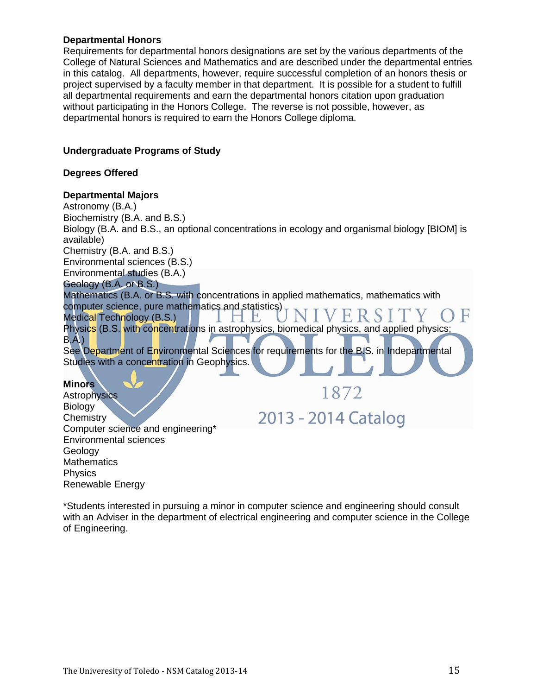# **Departmental Honors**

Requirements for departmental honors designations are set by the various departments of the College of Natural Sciences and Mathematics and are described under the departmental entries in this catalog. All departments, however, require successful completion of an honors thesis or project supervised by a faculty member in that department. It is possible for a student to fulfill all departmental requirements and earn the departmental honors citation upon graduation without participating in the Honors College. The reverse is not possible, however, as departmental honors is required to earn the Honors College diploma.

# **Undergraduate Programs of Study**

# **Degrees Offered**

# **Departmental Majors**

Environmental sciences

Renewable Energy

Geology **Mathematics** Physics

Astronomy (B.A.) Biochemistry (B.A. and B.S.) Biology (B.A. and B.S., an optional concentrations in ecology and organismal biology [BIOM] is available) Chemistry (B.A. and B.S.) Environmental sciences (B.S.) Environmental studies (B.A.) Geology (B.A. or B.S.) Mathematics (B.A. or B.S. with concentrations in applied mathematics, mathematics with computer science, pure mathematics and statistics) FRS Medical Technology (B.S.)  $H_{\rm c}$ Physics (B.S. with concentrations in astrophysics, biomedical physics, and applied physics; B.A*.*) See Department of Environmental Sciences for requirements for the B.S. in Indepartmental Studies with a concentration in Geophysics. **Minors**  1872 **Astrophysics Biology** 2013 - 2014 Catalog **Chemistry** Computer science and engineering\*

\*Students interested in pursuing a minor in computer science and engineering should consult with an Adviser in the department of electrical engineering and computer science in the College of Engineering.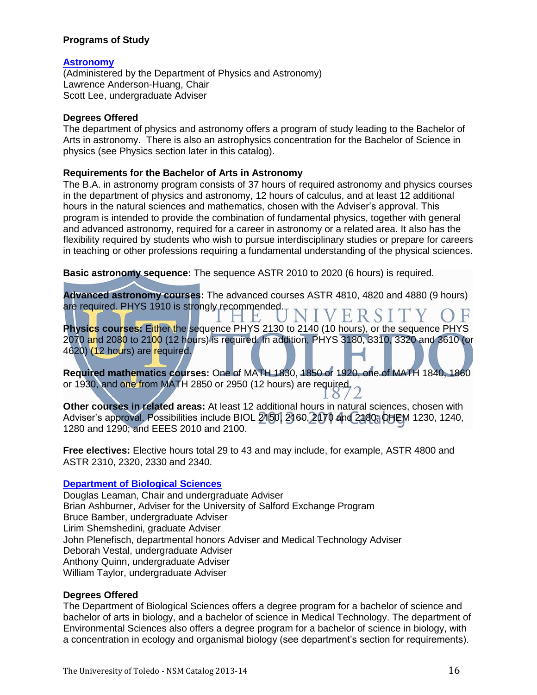# **Programs of Study**

# **[Astronomy](http://www.utoledo.edu/nsm/physast/index.html)**

(Administered by the Department of Physics and Astronomy) Lawrence Anderson-Huang, Chair Scott Lee, undergraduate Adviser

#### **Degrees Offered**

The department of physics and astronomy offers a program of study leading to the Bachelor of Arts in astronomy. There is also an astrophysics concentration for the Bachelor of Science in physics (see Physics section later in this catalog).

#### **Requirements for the Bachelor of Arts in Astronomy**

The B.A. in astronomy program consists of 37 hours of required astronomy and physics courses in the department of physics and astronomy, 12 hours of calculus, and at least 12 additional hours in the natural sciences and mathematics, chosen with the Adviser's approval. This program is intended to provide the combination of fundamental physics, together with general and advanced astronomy, required for a career in astronomy or a related area. It also has the flexibility required by students who wish to pursue interdisciplinary studies or prepare for careers in teaching or other professions requiring a fundamental understanding of the physical sciences.

**Basic astronomy sequence:** The sequence ASTR 2010 to 2020 (6 hours) is required.

**Advanced astronomy courses:** The advanced courses ASTR 4810, 4820 and 4880 (9 hours) are required. PHYS 1910 is strongly recommended. VERSI

 $H$ **Physics courses:** Either the sequence PHYS 2130 to 2140 (10 hours), or the sequence PHYS 2070 and 2080 to 2100 (12 hours) is required. In addition, PHYS 3180, 3310, 3320 and 3610 (or 4620) (12 hours) are required.

**Required mathematics courses:** One of MATH 1830, 1850 or 1920, one of MATH 1840, 1860 or 1930, and one from MATH 2850 or 2950 (12 hours) are required.

**Other courses in related areas:** At least 12 additional hours in natural sciences, chosen with Adviser's approval. Possibilities include BIOL 2150, 2160, 2170 and 2180; CHEM 1230, 1240, 1280 and 1290; and EEES 2010 and 2100.

**Free electives:** Elective hours total 29 to 43 and may include, for example, ASTR 4800 and ASTR 2310, 2320, 2330 and 2340.

# **[Department of Biological Sciences](http://www.utoledo.edu/nsm/bio/index.html)**

Douglas Leaman, Chair and undergraduate Adviser Brian Ashburner, Adviser for the University of Salford Exchange Program Bruce Bamber, undergraduate Adviser Lirim Shemshedini, graduate Adviser John Plenefisch, departmental honors Adviser and Medical Technology Adviser Deborah Vestal, undergraduate Adviser Anthony Quinn, undergraduate Adviser William Taylor, undergraduate Adviser

#### **Degrees Offered**

The Department of Biological Sciences offers a degree program for a bachelor of science and bachelor of arts in biology, and a bachelor of science in Medical Technology. The department of Environmental Sciences also offers a degree program for a bachelor of science in biology, with a concentration in ecology and organismal biology (see department's section for requirements).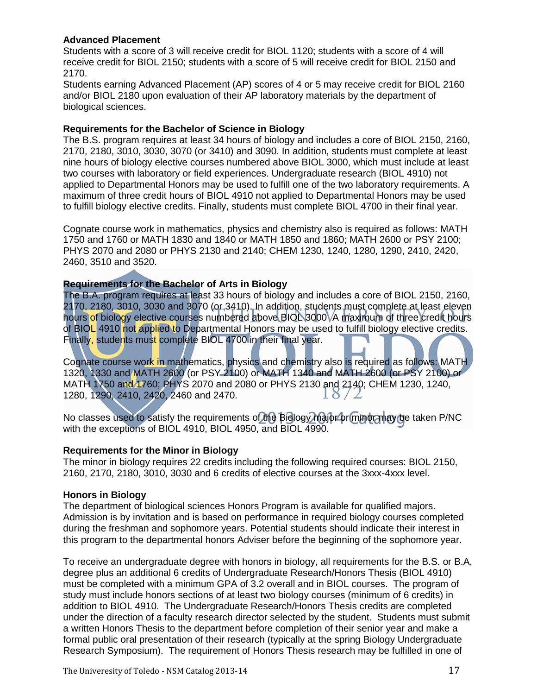# **Advanced Placement**

Students with a score of 3 will receive credit for BIOL 1120; students with a score of 4 will receive credit for BIOL 2150; students with a score of 5 will receive credit for BIOL 2150 and 2170.

Students earning Advanced Placement (AP) scores of 4 or 5 may receive credit for BIOL 2160 and/or BIOL 2180 upon evaluation of their AP laboratory materials by the department of biological sciences.

# **Requirements for the Bachelor of Science in Biology**

The B.S. program requires at least 34 hours of biology and includes a core of BIOL 2150, 2160, 2170, 2180, 3010, 3030, 3070 (or 3410) and 3090. In addition, students must complete at least nine hours of biology elective courses numbered above BIOL 3000, which must include at least two courses with laboratory or field experiences. Undergraduate research (BIOL 4910) not applied to Departmental Honors may be used to fulfill one of the two laboratory requirements. A maximum of three credit hours of BIOL 4910 not applied to Departmental Honors may be used to fulfill biology elective credits. Finally, students must complete BIOL 4700 in their final year.

Cognate course work in mathematics, physics and chemistry also is required as follows: MATH 1750 and 1760 or MATH 1830 and 1840 or MATH 1850 and 1860; MATH 2600 or PSY 2100; PHYS 2070 and 2080 or PHYS 2130 and 2140; CHEM 1230, 1240, 1280, 1290, 2410, 2420, 2460, 3510 and 3520.

# **Requirements for the Bachelor of Arts in Biology**

The B.A. program requires at least 33 hours of biology and includes a core of BIOL 2150, 2160, 2170, 2180, 3010, 3030 and 3070 (or 3410). In addition, students must complete at least eleven hours of biology elective courses numbered above BIOL 3000 A maximum of three credit hours of BIOL 4910 not applied to Departmental Honors may be used to fulfill biology elective credits. Finally, students must complete BIOL 4700 in their final year.

Cognate course work in mathematics, physics and chemistry also is required as follows: MATH 1320, 1330 and MATH 2600 (or PSY 2100) or MATH 1340 and MATH 2600 (or PSY 2100) or MATH 1750 and 1760; PHYS 2070 and 2080 or PHYS 2130 and 2140; CHEM 1230, 1240, 1280, 1290, 2410, 2420, 2460 and 2470.  $\overline{\bullet}$ 

No classes used to satisfy the requirements of the Biology major or minor may be taken P/NC with the exceptions of BIOL 4910, BIOL 4950, and BIOL 4990.

#### **Requirements for the Minor in Biology**

The minor in biology requires 22 credits including the following required courses: BIOL 2150, 2160, 2170, 2180, 3010, 3030 and 6 credits of elective courses at the 3xxx-4xxx level.

# **Honors in Biology**

The department of biological sciences Honors Program is available for qualified majors. Admission is by invitation and is based on performance in required biology courses completed during the freshman and sophomore years. Potential students should indicate their interest in this program to the departmental honors Adviser before the beginning of the sophomore year.

To receive an undergraduate degree with honors in biology, all requirements for the B.S. or B.A. degree plus an additional 6 credits of Undergraduate Research/Honors Thesis (BIOL 4910) must be completed with a minimum GPA of 3.2 overall and in BIOL courses. The program of study must include honors sections of at least two biology courses (minimum of 6 credits) in addition to BIOL 4910. The Undergraduate Research/Honors Thesis credits are completed under the direction of a faculty research director selected by the student. Students must submit a written Honors Thesis to the department before completion of their senior year and make a formal public oral presentation of their research (typically at the spring Biology Undergraduate Research Symposium). The requirement of Honors Thesis research may be fulfilled in one of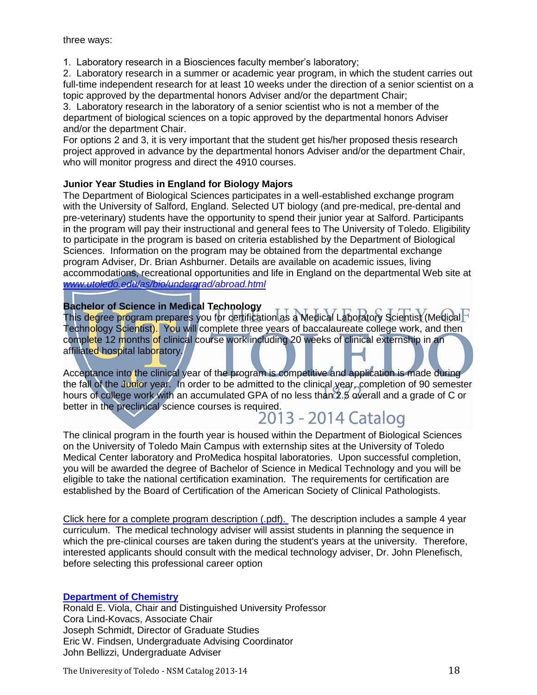1. Laboratory research in a Biosciences faculty member's laboratory;

2. Laboratory research in a summer or academic year program, in which the student carries out full-time independent research for at least 10 weeks under the direction of a senior scientist on a topic approved by the departmental honors Adviser and/or the department Chair;

3. Laboratory research in the laboratory of a senior scientist who is not a member of the department of biological sciences on a topic approved by the departmental honors Adviser and/or the department Chair.

For options 2 and 3, it is very important that the student get his/her proposed thesis research project approved in advance by the departmental honors Adviser and/or the department Chair, who will monitor progress and direct the 4910 courses.

# **Junior Year Studies in England for Biology Majors**

The Department of Biological Sciences participates in a well-established exchange program with the University of Salford, England. Selected UT biology (and pre-medical, pre-dental and pre-veterinary) students have the opportunity to spend their junior year at Salford. Participants in the program will pay their instructional and general fees to The University of Toledo. Eligibility to participate in the program is based on criteria established by the Department of Biological Sciences. Information on the program may be obtained from the departmental exchange program Adviser, Dr. Brian Ashburner. Details are available on academic issues, living accommodations, recreational opportunities and life in England on the departmental Web site at *[www.utoledo.edu/as/bio/undergrad/abroad.html](http://www.utoledo.edu/as/bio/undergrad/abroad.html)*

# **Bachelor of Science in Medical Technology**

This degree program prepares you for certification as a Medical Laboratory Scientist (Medical F Technology Scientist). You will complete three years of baccalaureate college work, and then complete 12 months of clinical course work including 20 weeks of clinical externship in an affiliated hospital laboratory.

Acceptance into the clinical year of the program is competitive and application is made during the fall of the Junior year. In order to be admitted to the clinical year, completion of 90 semester hours of college work with an accumulated GPA of no less than 2.5 overall and a grade of C or better in the preclinical science courses is required.<br>2013 - 2014 Catalog

The clinical program in the fourth year is housed within the Department of Biological Sciences on the University of Toledo Main Campus with externship sites at the University of Toledo Medical Center laboratory and ProMedica hospital laboratories. Upon successful completion, you will be awarded the degree of Bachelor of Science in Medical Technology and you will be eligible to take the national certification examination. The requirements for certification are established by the Board of Certification of the American Society of Clinical Pathologists.

[Click here for a complete program description \(.pdf\).](http://www.utoledo.edu/nsm/bio/pdfs/Bachelor%20of%20Science%20in%20Medical%20Technology%20draft%20flyer.pdf) The description includes a sample 4 year curriculum. The medical technology adviser will assist students in planning the sequence in which the pre-clinical courses are taken during the student's years at the university. Therefore, interested applicants should consult with the medical technology adviser, Dr. John Plenefisch, before selecting this professional career option

# **[Department of Chemistry](http://www.utoledo.edu/nsm/chemistry/index.html)**

Ronald E. Viola, Chair and Distinguished University Professor Cora Lind-Kovacs, Associate Chair Joseph Schmidt, Director of Graduate Studies Eric W. Findsen, Undergraduate Advising Coordinator John Bellizzi, Undergraduate Adviser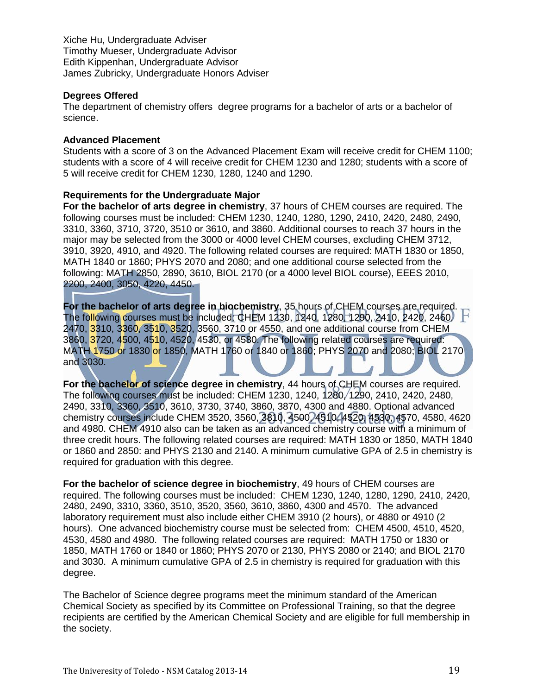Xiche Hu, Undergraduate Adviser Timothy Mueser, Undergraduate Advisor Edith Kippenhan, Undergraduate Advisor James Zubricky, Undergraduate Honors Adviser

# **Degrees Offered**

The department of chemistry offers degree programs for a bachelor of arts or a bachelor of science.

# **Advanced Placement**

Students with a score of 3 on the Advanced Placement Exam will receive credit for CHEM 1100; students with a score of 4 will receive credit for CHEM 1230 and 1280; students with a score of 5 will receive credit for CHEM 1230, 1280, 1240 and 1290.

#### **Requirements for the Undergraduate Major**

**For the bachelor of arts degree in chemistry**, 37 hours of CHEM courses are required. The following courses must be included: CHEM 1230, 1240, 1280, 1290, 2410, 2420, 2480, 2490, 3310, 3360, 3710, 3720, 3510 or 3610, and 3860. Additional courses to reach 37 hours in the major may be selected from the 3000 or 4000 level CHEM courses, excluding CHEM 3712, 3910, 3920, 4910, and 4920. The following related courses are required: MATH 1830 or 1850, MATH 1840 or 1860; PHYS 2070 and 2080; and one additional course selected from the following: MATH 2850, 2890, 3610, BIOL 2170 (or a 4000 level BIOL course), EEES 2010, 2200, 2400, 3050, 4220, 4450.

**For the bachelor of arts degree in biochemistry**, 35 hours of CHEM courses are required. The following courses must be included: CHEM 1230, 1240, 1280, 1290, 2410, 2420, 2460, H 2470, 3310, 3360, 3510, 3520, 3560, 3710 or 4550, and one additional course from CHEM 3860, 3720, 4500, 4510, 4520, 4530, or 4580. The following related courses are required: MATH 1750 or 1830 or 1850, MATH 1760 or 1840 or 1860; PHYS 2070 and 2080; BIOL 2170 and 3030.

**For the bachelor of science degree in chemistry**, 44 hours of CHEM courses are required. The following courses must be included: CHEM 1230, 1240, 1280, 1290, 2410, 2420, 2480, 2490, 3310, 3360, 3510, 3610, 3730, 3740, 3860, 3870, 4300 and 4880. Optional advanced chemistry courses include CHEM 3520, 3560, 3810, 4500, 4510, 4520, 4530, 4570, 4580, 4620 and 4980. CHEM 4910 also can be taken as an advanced chemistry course with a minimum of three credit hours. The following related courses are required: MATH 1830 or 1850, MATH 1840 or 1860 and 2850: and PHYS 2130 and 2140. A minimum cumulative GPA of 2.5 in chemistry is required for graduation with this degree.

**For the bachelor of science degree in biochemistry**, 49 hours of CHEM courses are required. The following courses must be included: CHEM 1230, 1240, 1280, 1290, 2410, 2420, 2480, 2490, 3310, 3360, 3510, 3520, 3560, 3610, 3860, 4300 and 4570. The advanced laboratory requirement must also include either CHEM 3910 (2 hours), or 4880 or 4910 (2 hours). One advanced biochemistry course must be selected from: CHEM 4500, 4510, 4520, 4530, 4580 and 4980. The following related courses are required: MATH 1750 or 1830 or 1850, MATH 1760 or 1840 or 1860; PHYS 2070 or 2130, PHYS 2080 or 2140; and BIOL 2170 and 3030. A minimum cumulative GPA of 2.5 in chemistry is required for graduation with this degree.

The Bachelor of Science degree programs meet the minimum standard of the American Chemical Society as specified by its Committee on Professional Training, so that the degree recipients are certified by the American Chemical Society and are eligible for full membership in the society.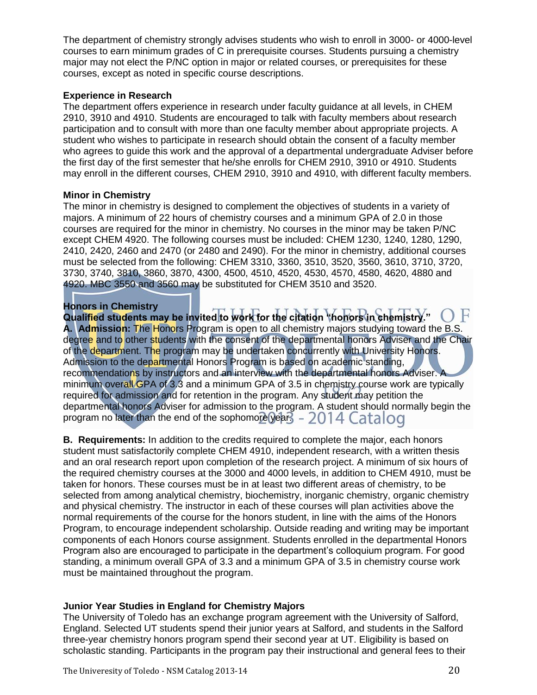The department of chemistry strongly advises students who wish to enroll in 3000- or 4000-level courses to earn minimum grades of C in prerequisite courses. Students pursuing a chemistry major may not elect the P/NC option in major or related courses, or prerequisites for these courses, except as noted in specific course descriptions.

# **Experience in Research**

The department offers experience in research under faculty guidance at all levels, in CHEM 2910, 3910 and 4910. Students are encouraged to talk with faculty members about research participation and to consult with more than one faculty member about appropriate projects. A student who wishes to participate in research should obtain the consent of a faculty member who agrees to guide this work and the approval of a departmental undergraduate Adviser before the first day of the first semester that he/she enrolls for CHEM 2910, 3910 or 4910. Students may enroll in the different courses, CHEM 2910, 3910 and 4910, with different faculty members.

# **Minor in Chemistry**

The minor in chemistry is designed to complement the objectives of students in a variety of majors. A minimum of 22 hours of chemistry courses and a minimum GPA of 2.0 in those courses are required for the minor in chemistry. No courses in the minor may be taken P/NC except CHEM 4920. The following courses must be included: CHEM 1230, 1240, 1280, 1290, 2410, 2420, 2460 and 2470 (or 2480 and 2490). For the minor in chemistry, additional courses must be selected from the following: CHEM 3310, 3360, 3510, 3520, 3560, 3610, 3710, 3720, 3730, 3740, 3810, 3860, 3870, 4300, 4500, 4510, 4520, 4530, 4570, 4580, 4620, 4880 and 4920. MBC 3550 and 3560 may be substituted for CHEM 3510 and 3520.

# **Honors in Chemistry**

**Qualified students may be invited to work for the citation "honors in chemistry." A. Admission:** The Honors Program is open to all chemistry majors studying toward the B.S. degree and to other students with the consent of the departmental honors Adviser and the Chair of the department. The program may be undertaken concurrently with University Honors. Admission to the departmental Honors Program is based on academic standing, recommendations by instructors and an interview with the departmental honors Adviser. A minimum overall GPA of 3.3 and a minimum GPA of 3.5 in chemistry course work are typically required for admission and for retention in the program. Any student may petition the departmental honors Adviser for admission to the program. A student should normally begin the program no later than the end of the sophomore year.  $-2014$  Catalog

**B. Requirements:** In addition to the credits required to complete the major, each honors student must satisfactorily complete CHEM 4910, independent research, with a written thesis and an oral research report upon completion of the research project. A minimum of six hours of the required chemistry courses at the 3000 and 4000 levels, in addition to CHEM 4910, must be taken for honors. These courses must be in at least two different areas of chemistry, to be selected from among analytical chemistry, biochemistry, inorganic chemistry, organic chemistry and physical chemistry. The instructor in each of these courses will plan activities above the normal requirements of the course for the honors student, in line with the aims of the Honors Program, to encourage independent scholarship. Outside reading and writing may be important components of each Honors course assignment. Students enrolled in the departmental Honors Program also are encouraged to participate in the department's colloquium program. For good standing, a minimum overall GPA of 3.3 and a minimum GPA of 3.5 in chemistry course work must be maintained throughout the program.

# **Junior Year Studies in England for Chemistry Majors**

The University of Toledo has an exchange program agreement with the University of Salford, England. Selected UT students spend their junior years at Salford, and students in the Salford three-year chemistry honors program spend their second year at UT. Eligibility is based on scholastic standing. Participants in the program pay their instructional and general fees to their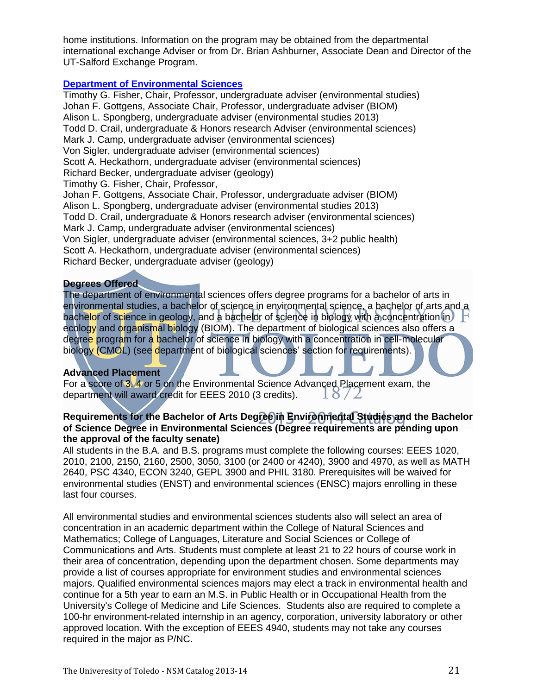home institutions. Information on the program may be obtained from the departmental international exchange Adviser or from Dr. Brian Ashburner, Associate Dean and Director of the UT-Salford Exchange Program.

#### **[Department of Environmental Sciences](http://www.utoledo.edu/nsm/envsciences/index.html)**

Timothy G. Fisher, Chair, Professor, undergraduate adviser (environmental studies) Johan F. Gottgens, Associate Chair, Professor, undergraduate adviser (BIOM) Alison L. Spongberg, undergraduate adviser (environmental studies 2013) Todd D. Crail, undergraduate & Honors research Adviser (environmental sciences) Mark J. Camp, undergraduate adviser (environmental sciences) Von Sigler, undergraduate adviser (environmental sciences) Scott A. Heckathorn, undergraduate adviser (environmental sciences) Richard Becker, undergraduate adviser (geology) Timothy G. Fisher, Chair, Professor, Johan F. Gottgens, Associate Chair, Professor, undergraduate adviser (BIOM) Alison L. Spongberg, undergraduate adviser (environmental studies 2013) Todd D. Crail, undergraduate & Honors research adviser (environmental sciences) Mark J. Camp, undergraduate adviser (environmental sciences) Von Sigler, undergraduate adviser (environmental sciences, 3+2 public health) Scott A. Heckathorn, undergraduate adviser (environmental sciences) Richard Becker, undergraduate adviser (geology)

#### **Degrees Offered**

The department of environmental sciences offers degree programs for a bachelor of arts in environmental studies, a bachelor of science in environmental science, a bachelor of arts and a bachelor of science in geology, and a bachelor of science in biology with a concentration in ecology and organismal biology (BIOM). The department of biological sciences also offers a degree program for a bachelor of science in biology with a concentration in cell-molecular biology (CMOL) (see department of biological sciences' section for requirements).

# **Advanced Placement**

For a score of 3, 4 or 5 on the Environmental Science Advanced Placement exam, the department will award credit for EEES 2010 (3 credits).  $18/2$ 

# **Requirements for the Bachelor of Arts Degree in Environmental Studies and the Bachelor of Science Degree in Environmental Sciences (Degree requirements are pending upon the approval of the faculty senate)**

All students in the B.A. and B.S. programs must complete the following courses: EEES 1020, 2010, 2100, 2150, 2160, 2500, 3050, 3100 (or 2400 or 4240), 3900 and 4970, as well as MATH 2640, PSC 4340, ECON 3240, GEPL 3900 and PHIL 3180. Prerequisites will be waived for environmental studies (ENST) and environmental sciences (ENSC) majors enrolling in these last four courses.

All environmental studies and environmental sciences students also will select an area of concentration in an academic department within the College of Natural Sciences and Mathematics; College of Languages, Literature and Social Sciences or College of Communications and Arts. Students must complete at least 21 to 22 hours of course work in their area of concentration, depending upon the department chosen. Some departments may provide a list of courses appropriate for environment studies and environmental sciences majors. Qualified environmental sciences majors may elect a track in environmental health and continue for a 5th year to earn an M.S. in Public Health or in Occupational Health from the University's College of Medicine and Life Sciences. Students also are required to complete a 100-hr environment-related internship in an agency, corporation, university laboratory or other approved location. With the exception of EEES 4940, students may not take any courses required in the major as P/NC.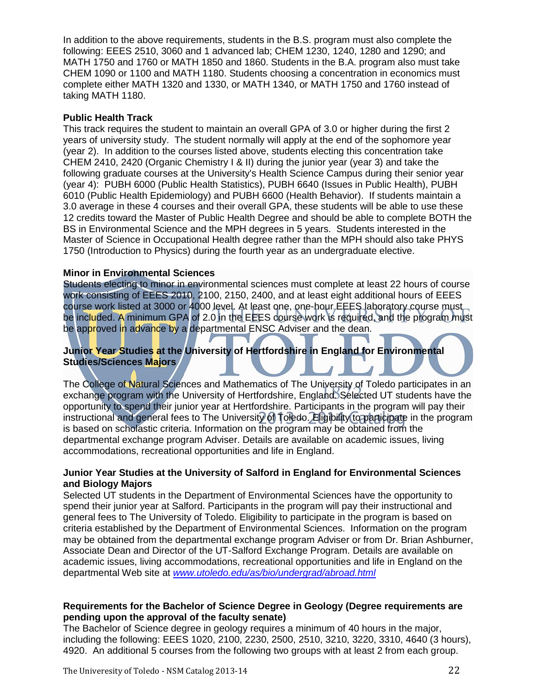In addition to the above requirements, students in the B.S. program must also complete the following: EEES 2510, 3060 and 1 advanced lab; CHEM 1230, 1240, 1280 and 1290; and MATH 1750 and 1760 or MATH 1850 and 1860. Students in the B.A. program also must take CHEM 1090 or 1100 and MATH 1180. Students choosing a concentration in economics must complete either MATH 1320 and 1330, or MATH 1340, or MATH 1750 and 1760 instead of taking MATH 1180.

# **Public Health Track**

This track requires the student to maintain an overall GPA of 3.0 or higher during the first 2 years of university study. The student normally will apply at the end of the sophomore year (year 2). In addition to the courses listed above, students electing this concentration take CHEM 2410, 2420 (Organic Chemistry I & II) during the junior year (year 3) and take the following graduate courses at the University's Health Science Campus during their senior year (year 4): PUBH 6000 (Public Health Statistics), PUBH 6640 (Issues in Public Health), PUBH 6010 (Public Health Epidemiology) and PUBH 6600 (Health Behavior). If students maintain a 3.0 average in these 4 courses and their overall GPA, these students will be able to use these 12 credits toward the Master of Public Health Degree and should be able to complete BOTH the BS in Environmental Science and the MPH degrees in 5 years. Students interested in the Master of Science in Occupational Health degree rather than the MPH should also take PHYS 1750 (Introduction to Physics) during the fourth year as an undergraduate elective.

# **Minor in Environmental Sciences**

Students electing to minor in environmental sciences must complete at least 22 hours of course work consisting of EEES 2010, 2100, 2150, 2400, and at least eight additional hours of EEES course work listed at 3000 or 4000 level. At least one, one-hour EEES laboratory course must be included. A minimum GPA of 2.0 in the EEES course work is required, and the program must be approved in advance by a departmental ENSC Adviser and the dean.

# **Junior Year Studies at the University of Hertfordshire in England for Environmental Studies/Sciences Majors**

The College of Natural Sciences and Mathematics of The University of Toledo participates in an exchange program with the University of Hertfordshire, England. Selected UT students have the opportunity to spend their junior year at Hertfordshire. Participants in the program will pay their instructional and general fees to The University of Toledo. Eligibility to participate in the program is based on scholastic criteria. Information on the program may be obtained from the departmental exchange program Adviser. Details are available on academic issues, living accommodations, recreational opportunities and life in England.

# **Junior Year Studies at the University of Salford in England for Environmental Sciences and Biology Majors**

Selected UT students in the Department of Environmental Sciences have the opportunity to spend their junior year at Salford. Participants in the program will pay their instructional and general fees to The University of Toledo. Eligibility to participate in the program is based on criteria established by the Department of Environmental Sciences. Information on the program may be obtained from the departmental exchange program Adviser or from Dr. Brian Ashburner, Associate Dean and Director of the UT-Salford Exchange Program. Details are available on academic issues, living accommodations, recreational opportunities and life in England on the departmental Web site at *[www.utoledo.edu/as/bio/undergrad/abroad.html](http://www.utoledo.edu/as/bio/undergrad/abroad.html)*

# **Requirements for the Bachelor of Science Degree in Geology (Degree requirements are pending upon the approval of the faculty senate)**

The Bachelor of Science degree in geology requires a minimum of 40 hours in the major, including the following: EEES 1020, 2100, 2230, 2500, 2510, 3210, 3220, 3310, 4640 (3 hours), 4920. An additional 5 courses from the following two groups with at least 2 from each group.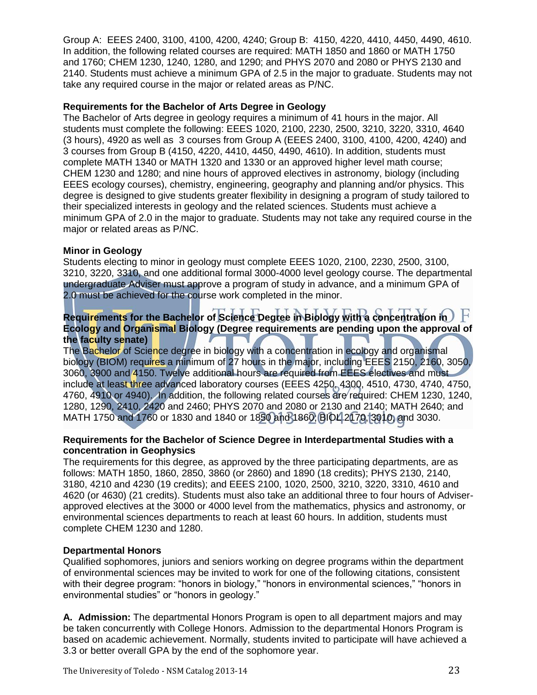Group A: EEES 2400, 3100, 4100, 4200, 4240; Group B: 4150, 4220, 4410, 4450, 4490, 4610. In addition, the following related courses are required: MATH 1850 and 1860 or MATH 1750 and 1760; CHEM 1230, 1240, 1280, and 1290; and PHYS 2070 and 2080 or PHYS 2130 and 2140. Students must achieve a minimum GPA of 2.5 in the major to graduate. Students may not take any required course in the major or related areas as P/NC.

# **Requirements for the Bachelor of Arts Degree in Geology**

The Bachelor of Arts degree in geology requires a minimum of 41 hours in the major. All students must complete the following: EEES 1020, 2100, 2230, 2500, 3210, 3220, 3310, 4640 (3 hours), 4920 as well as 3 courses from Group A (EEES 2400, 3100, 4100, 4200, 4240) and 3 courses from Group B (4150, 4220, 4410, 4450, 4490, 4610). In addition, students must complete MATH 1340 or MATH 1320 and 1330 or an approved higher level math course; CHEM 1230 and 1280; and nine hours of approved electives in astronomy, biology (including EEES ecology courses), chemistry, engineering, geography and planning and/or physics. This degree is designed to give students greater flexibility in designing a program of study tailored to their specialized interests in geology and the related sciences. Students must achieve a minimum GPA of 2.0 in the major to graduate. Students may not take any required course in the major or related areas as P/NC.

#### **Minor in Geology**

Students electing to minor in geology must complete EEES 1020, 2100, 2230, 2500, 3100, 3210, 3220, 3310, and one additional formal 3000-4000 level geology course. The departmental undergraduate Adviser must approve a program of study in advance, and a minimum GPA of 2.0 must be achieved for the course work completed in the minor.

# **Requirements for the Bachelor of Science Degree in Biology with a concentration in Ecology and Organismal Biology (Degree requirements are pending upon the approval of the faculty senate)**

The Bachelor of Science degree in biology with a concentration in ecology and organismal biology (BIOM) requires a minimum of 27 hours in the major, including EEES 2150, 2160, 3050, 3060, 3900 and 4150. Twelve additional hours are required from EEES electives and must include at least three advanced laboratory courses (EEES 4250, 4300, 4510, 4730, 4740, 4750, 4760, 4910 or 4940). In addition, the following related courses are required: CHEM 1230, 1240, 1280, 1290, 2410, 2420 and 2460; PHYS 2070 and 2080 or 2130 and 2140; MATH 2640; and MATH 1750 and 1760 or 1830 and 1840 or 1850 and 1860; BIOL 2170, 3010, and 3030.

#### **Requirements for the Bachelor of Science Degree in Interdepartmental Studies with a concentration in Geophysics**

The requirements for this degree, as approved by the three participating departments, are as follows: MATH 1850, 1860, 2850, 3860 (or 2860) and 1890 (18 credits); PHYS 2130, 2140, 3180, 4210 and 4230 (19 credits); and EEES 2100, 1020, 2500, 3210, 3220, 3310, 4610 and 4620 (or 4630) (21 credits). Students must also take an additional three to four hours of Adviserapproved electives at the 3000 or 4000 level from the mathematics, physics and astronomy, or environmental sciences departments to reach at least 60 hours. In addition, students must complete CHEM 1230 and 1280.

# **Departmental Honors**

Qualified sophomores, juniors and seniors working on degree programs within the department of environmental sciences may be invited to work for one of the following citations, consistent with their degree program: "honors in biology," "honors in environmental sciences," "honors in environmental studies" or "honors in geology."

**A. Admission:** The departmental Honors Program is open to all department majors and may be taken concurrently with College Honors. Admission to the departmental Honors Program is based on academic achievement. Normally, students invited to participate will have achieved a 3.3 or better overall GPA by the end of the sophomore year.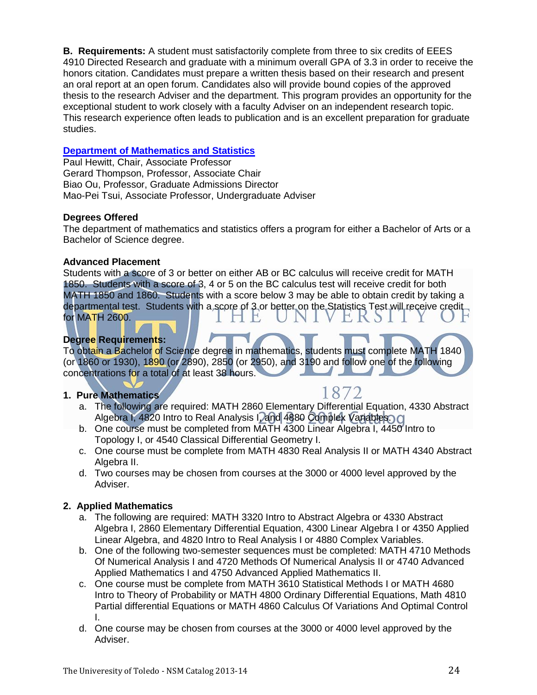**B. Requirements:** A student must satisfactorily complete from three to six credits of EEES 4910 Directed Research and graduate with a minimum overall GPA of 3.3 in order to receive the honors citation. Candidates must prepare a written thesis based on their research and present an oral report at an open forum. Candidates also will provide bound copies of the approved thesis to the research Adviser and the department. This program provides an opportunity for the exceptional student to work closely with a faculty Adviser on an independent research topic. This research experience often leads to publication and is an excellent preparation for graduate studies.

# **[Department of Mathematics and Statistics](http://www.math.utoledo.edu/)**

Paul Hewitt, Chair, Associate Professor Gerard Thompson, Professor, Associate Chair Biao Ou, Professor, Graduate Admissions Director Mao-Pei Tsui, Associate Professor, Undergraduate Adviser

#### **Degrees Offered**

The department of mathematics and statistics offers a program for either a Bachelor of Arts or a Bachelor of Science degree.

#### **Advanced Placement**

Students with a score of 3 or better on either AB or BC calculus will receive credit for MATH 1850. Students with a score of 3, 4 or 5 on the BC calculus test will receive credit for both MATH 1850 and 1860. Students with a score below 3 may be able to obtain credit by taking a departmental test. Students with a score of 3 or better on the Statistics Test will receive credit for MATH 2600. 1 L VEKS VI

# **Degree Requirements:**

To obtain a Bachelor of Science degree in mathematics, students must complete MATH 1840 (or 1860 or 1930), 1890 (or 2890), 2850 (or 2950), and 3190 and follow one of the following concentrations for a total of at least 38 hours.

#### **1. Pure Mathematics**

- 
- a. The following are required: MATH 2860 Elementary Differential Equation, 4330 Abstract Algebra I, 4820 Intro to Real Analysis I, and 4880 Complex Variables. Cl
- b. One course must be completed from MATH 4300 Linear Algebra I, 4450 Intro to Topology I, or 4540 Classical Differential Geometry I.
- c. One course must be complete from MATH 4830 Real Analysis II or MATH 4340 Abstract Algebra II.
- d. Two courses may be chosen from courses at the 3000 or 4000 level approved by the Adviser.

# **2. Applied Mathematics**

- a. The following are required: MATH 3320 Intro to Abstract Algebra or 4330 Abstract Algebra I, 2860 Elementary Differential Equation, 4300 Linear Algebra I or 4350 Applied Linear Algebra, and 4820 Intro to Real Analysis I or 4880 Complex Variables.
- b. One of the following two-semester sequences must be completed: MATH 4710 Methods Of Numerical Analysis I and 4720 Methods Of Numerical Analysis II or 4740 Advanced Applied Mathematics I and 4750 Advanced Applied Mathematics II.
- c. One course must be complete from MATH 3610 Statistical Methods I or MATH 4680 Intro to Theory of Probability or MATH 4800 Ordinary Differential Equations, Math 4810 Partial differential Equations or MATH 4860 Calculus Of Variations And Optimal Control I.
- d. One course may be chosen from courses at the 3000 or 4000 level approved by the Adviser.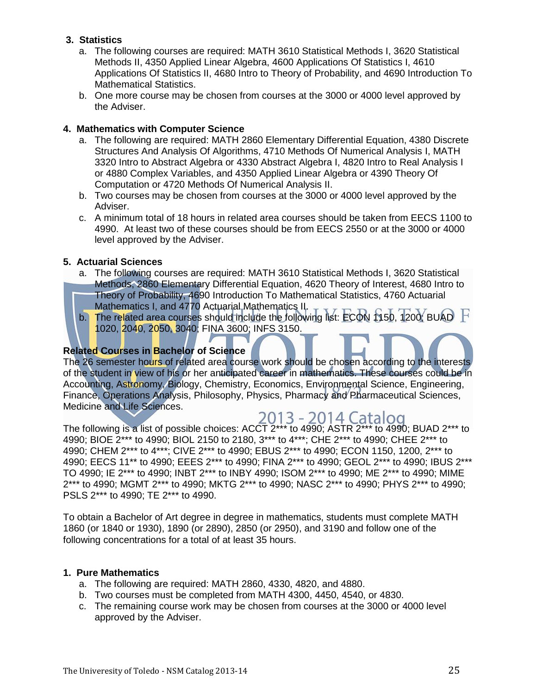# **3. Statistics**

- a. The following courses are required: MATH 3610 Statistical Methods I, 3620 Statistical Methods II, 4350 Applied Linear Algebra, 4600 Applications Of Statistics I, 4610 Applications Of Statistics II, 4680 Intro to Theory of Probability, and 4690 Introduction To Mathematical Statistics.
- b. One more course may be chosen from courses at the 3000 or 4000 level approved by the Adviser.

# **4. Mathematics with Computer Science**

- a. The following are required: MATH 2860 Elementary Differential Equation, 4380 Discrete Structures And Analysis Of Algorithms, 4710 Methods Of Numerical Analysis I, MATH 3320 Intro to Abstract Algebra or 4330 Abstract Algebra I, 4820 Intro to Real Analysis I or 4880 Complex Variables, and 4350 Applied Linear Algebra or 4390 Theory Of Computation or 4720 Methods Of Numerical Analysis II.
- b. Two courses may be chosen from courses at the 3000 or 4000 level approved by the Adviser.
- c. A minimum total of 18 hours in related area courses should be taken from EECS 1100 to 4990. At least two of these courses should be from EECS 2550 or at the 3000 or 4000 level approved by the Adviser.

# **5. Actuarial Sciences**

- a. The following courses are required: MATH 3610 Statistical Methods I, 3620 Statistical Methods, 2860 Elementary Differential Equation, 4620 Theory of Interest, 4680 Intro to Theory of Probability, 4690 Introduction To Mathematical Statistics, 4760 Actuarial
- Mathematics I, and 4770 Actuarial Mathematics II. b. The related area courses should include the following list: ECON 1150, 1200; BUAD  $\,$  F 1020, 2040, 2050, 3040; FINA 3600; INFS 3150.

# **Related Courses in Bachelor of Science**

The 26 semester hours of related area course work should be chosen according to the interests of the student in view of his or her anticipated career in mathematics. These courses could be in Accounting, Astronomy, Biology, Chemistry, Economics, Environmental Science, Engineering, Finance, Operations Analysis, Philosophy, Physics, Pharmacy and Pharmaceutical Sciences, Medicine and Life Sciences.

2013 - 2014 Catalog The following is a list of possible choices: ACCT 2\*\*\* to 4990; ASTR 2\*\*\* to 4990; BUAD 2\*\*\* to 4990; BIOE 2\*\*\* to 4990; BIOL 2150 to 2180, 3\*\*\* to 4\*\*\*; CHE 2\*\*\* to 4990; CHEE 2\*\*\* to 4990; CHEM 2\*\*\* to 4\*\*\*; CIVE 2\*\*\* to 4990; EBUS 2\*\*\* to 4990; ECON 1150, 1200, 2\*\*\* to 4990; EECS 11\*\* to 4990; EEES 2\*\*\* to 4990; FINA 2\*\*\* to 4990; GEOL 2\*\*\* to 4990; IBUS 2\*\*\* TO 4990; IE 2\*\*\* to 4990; INBT 2\*\*\* to INBY 4990; ISOM 2\*\*\* to 4990; ME 2\*\*\* to 4990; MIME 2\*\*\* to 4990; MGMT 2\*\*\* to 4990; MKTG 2\*\*\* to 4990; NASC 2\*\*\* to 4990; PHYS 2\*\*\* to 4990; PSLS 2\*\*\* to 4990; TE 2\*\*\* to 4990.

To obtain a Bachelor of Art degree in degree in mathematics, students must complete MATH 1860 (or 1840 or 1930), 1890 (or 2890), 2850 (or 2950), and 3190 and follow one of the following concentrations for a total of at least 35 hours.

#### **1. Pure Mathematics**

- a. The following are required: MATH 2860, 4330, 4820, and 4880.
- b. Two courses must be completed from MATH 4300, 4450, 4540, or 4830.
- c. The remaining course work may be chosen from courses at the 3000 or 4000 level approved by the Adviser.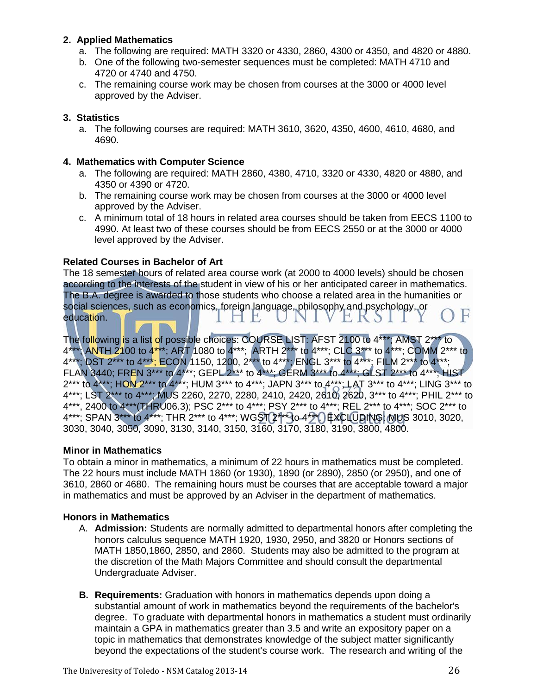# **2. Applied Mathematics**

- a. The following are required: MATH 3320 or 4330, 2860, 4300 or 4350, and 4820 or 4880.
- b. One of the following two-semester sequences must be completed: MATH 4710 and 4720 or 4740 and 4750.
- c. The remaining course work may be chosen from courses at the 3000 or 4000 level approved by the Adviser.

# **3. Statistics**

a. The following courses are required: MATH 3610, 3620, 4350, 4600, 4610, 4680, and 4690.

# **4. Mathematics with Computer Science**

- a. The following are required: MATH 2860, 4380, 4710, 3320 or 4330, 4820 or 4880, and 4350 or 4390 or 4720.
- b. The remaining course work may be chosen from courses at the 3000 or 4000 level approved by the Adviser.
- c. A minimum total of 18 hours in related area courses should be taken from EECS 1100 to 4990. At least two of these courses should be from EECS 2550 or at the 3000 or 4000 level approved by the Adviser.

# **Related Courses in Bachelor of Art**

The 18 semester hours of related area course work (at 2000 to 4000 levels) should be chosen according to the interests of the student in view of his or her anticipated career in mathematics. The B.A. degree is awarded to those students who choose a related area in the humanities or social sciences, such as economics, foreign language, philosophy and psychology, or education. I HE UNI VEKSIIY

The following is a list of possible choices: COURSE LIST: AFST 2100 to 4\*\*\*; AMST 2\*\*\* to 4\*\*\*; ANTH 2100 to 4\*\*\*; ART 1080 to 4\*\*\*; ARTH 2\*\*\* to 4\*\*\*; CLC 3\*\*\* to 4\*\*\*; COMM 2\*\*\* to 4\*\*\*; DST 2\*\*\* to 4\*\*\*; ECON 1150, 1200, 2\*\*\* to 4\*\*\*; ENGL 3\*\*\* to 4\*\*\*; FILM 2\*\*\* to 4\*\*\*; FLAN 3440; FREN 3\*\*\* to 4\*\*\*; GEPL 2\*\*\* to 4\*\*\*; GERM 3\*\*\* to 4\*\*\*; GLST 2\*\*\* to 4\*\*\*; HIST 2\*\*\* to 4\*\*\*; HON 2\*\*\* to 4\*\*\*; HUM 3\*\*\* to 4\*\*\*; JAPN 3\*\*\* to 4\*\*\*; LAT 3\*\*\* to 4\*\*\*; LING 3\*\*\* to 4\*\*\*; LST 2\*\*\* to 4\*\*\*; MUS 2260, 2270, 2280, 2410, 2420, 2610, 2620, 3\*\*\* to 4\*\*\*; PHIL 2\*\*\* to 4\*\*\*, 2400 to 4\*\*\*(THRU06.3); PSC 2\*\*\* to 4\*\*\*; PSY 2\*\*\* to 4\*\*\*; REL 2\*\*\* to 4\*\*\*; SOC 2\*\*\* to 4\*\*\*; SPAN 3\*\*\* to 4\*\*\*; THR 2\*\*\* to 4\*\*\*; WGST 2\*\*\* to 4\*\*\*) EXCLUDING: MUS 3010, 3020, 3030, 3040, 3050, 3090, 3130, 3140, 3150, 3160, 3170, 3180, 3190, 3800, 4800.

# **Minor in Mathematics**

To obtain a minor in mathematics, a minimum of 22 hours in mathematics must be completed. The 22 hours must include MATH 1860 (or 1930), 1890 (or 2890), 2850 (or 2950), and one of 3610, 2860 or 4680. The remaining hours must be courses that are acceptable toward a major in mathematics and must be approved by an Adviser in the department of mathematics.

# **Honors in Mathematics**

- A. **Admission:** Students are normally admitted to departmental honors after completing the honors calculus sequence MATH 1920, 1930, 2950, and 3820 or Honors sections of MATH 1850,1860, 2850, and 2860. Students may also be admitted to the program at the discretion of the Math Majors Committee and should consult the departmental Undergraduate Adviser.
- **B. Requirements:** Graduation with honors in mathematics depends upon doing a substantial amount of work in mathematics beyond the requirements of the bachelor's degree. To graduate with departmental honors in mathematics a student must ordinarily maintain a GPA in mathematics greater than 3.5 and write an expository paper on a topic in mathematics that demonstrates knowledge of the subject matter significantly beyond the expectations of the student's course work. The research and writing of the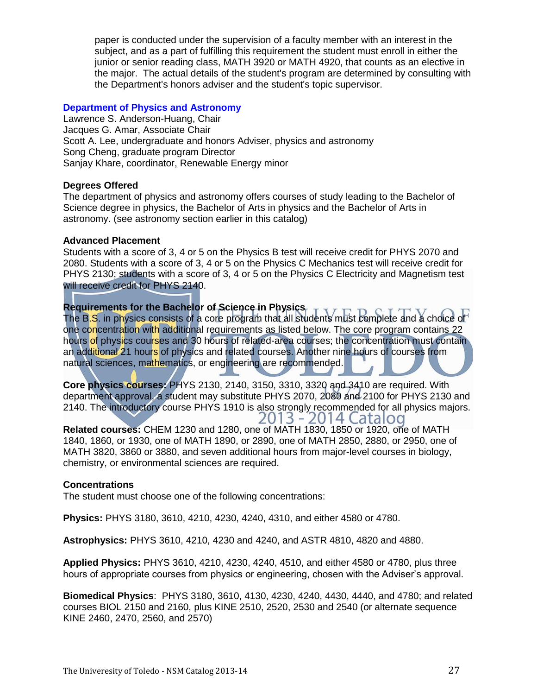paper is conducted under the supervision of a faculty member with an interest in the subject, and as a part of fulfilling this requirement the student must enroll in either the junior or senior reading class, MATH 3920 or MATH 4920, that counts as an elective in the major. The actual details of the student's program are determined by consulting with the Department's honors adviser and the student's topic supervisor.

# **[Department of Physics and Astronomy](http://www.utoledo.edu/nsm/physast/index.html)**

Lawrence S. Anderson-Huang, Chair Jacques G. Amar, Associate Chair Scott A. Lee, undergraduate and honors Adviser, physics and astronomy Song Cheng, graduate program Director Sanjay Khare, coordinator, Renewable Energy minor

#### **Degrees Offered**

The department of physics and astronomy offers courses of study leading to the Bachelor of Science degree in physics, the Bachelor of Arts in physics and the Bachelor of Arts in astronomy. (see astronomy section earlier in this catalog)

#### **Advanced Placement**

Students with a score of 3, 4 or 5 on the Physics B test will receive credit for PHYS 2070 and 2080. Students with a score of 3, 4 or 5 on the Physics C Mechanics test will receive credit for PHYS 2130; students with a score of 3, 4 or 5 on the Physics C Electricity and Magnetism test will receive credit for PHYS 2140.

**Requirements for the Bachelor of Science in Physics**  The B.S. in physics consists of a core program that all students must complete and a choice of one concentration with additional requirements as listed below. The core program contains 22 hours of physics courses and 30 hours of related-area courses; the concentration must contain an additional 21 hours of physics and related courses. Another nine hours of courses from natural sciences, mathematics, or engineering are recommended.

**Core physics courses:** PHYS 2130, 2140, 3150, 3310, 3320 and 3410 are required. With department approval, a student may substitute PHYS 2070, 2080 and 2100 for PHYS 2130 and 2140. The introductory course PHYS 1910 is also strongly recommended for all physics majors. 2013 - 2014 Catalog

**Related courses:** CHEM 1230 and 1280, one of MATH 1830, 1850 or 1920, one of MATH 1840, 1860, or 1930, one of MATH 1890, or 2890, one of MATH 2850, 2880, or 2950, one of MATH 3820, 3860 or 3880, and seven additional hours from major-level courses in biology, chemistry, or environmental sciences are required.

#### **Concentrations**

The student must choose one of the following concentrations:

**Physics:** PHYS 3180, 3610, 4210, 4230, 4240, 4310, and either 4580 or 4780.

**Astrophysics:** PHYS 3610, 4210, 4230 and 4240, and ASTR 4810, 4820 and 4880.

**Applied Physics:** PHYS 3610, 4210, 4230, 4240, 4510, and either 4580 or 4780, plus three hours of appropriate courses from physics or engineering, chosen with the Adviser's approval.

**Biomedical Physics**: PHYS 3180, 3610, 4130, 4230, 4240, 4430, 4440, and 4780; and related courses BIOL 2150 and 2160, plus KINE 2510, 2520, 2530 and 2540 (or alternate sequence KINE 2460, 2470, 2560, and 2570)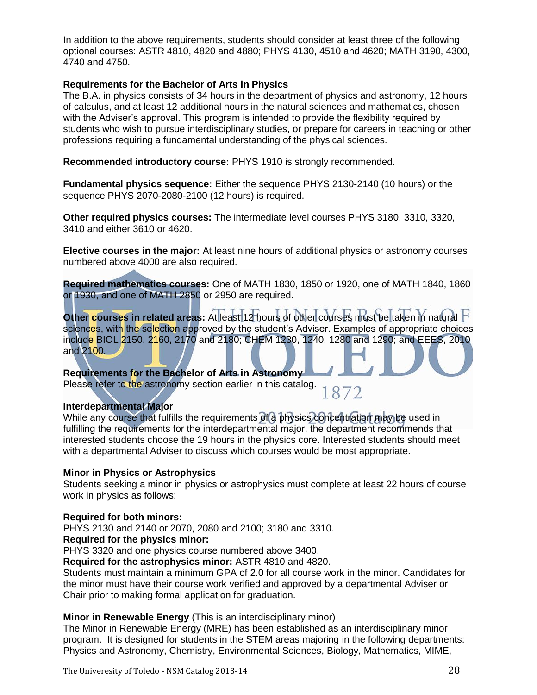In addition to the above requirements, students should consider at least three of the following optional courses: ASTR 4810, 4820 and 4880; PHYS 4130, 4510 and 4620; MATH 3190, 4300, 4740 and 4750.

### **Requirements for the Bachelor of Arts in Physics**

The B.A. in physics consists of 34 hours in the department of physics and astronomy, 12 hours of calculus, and at least 12 additional hours in the natural sciences and mathematics, chosen with the Adviser's approval. This program is intended to provide the flexibility required by students who wish to pursue interdisciplinary studies, or prepare for careers in teaching or other professions requiring a fundamental understanding of the physical sciences.

**Recommended introductory course:** PHYS 1910 is strongly recommended.

**Fundamental physics sequence:** Either the sequence PHYS 2130-2140 (10 hours) or the sequence PHYS 2070-2080-2100 (12 hours) is required.

**Other required physics courses:** The intermediate level courses PHYS 3180, 3310, 3320, 3410 and either 3610 or 4620.

**Elective courses in the major:** At least nine hours of additional physics or astronomy courses numbered above 4000 are also required.

**Required mathematics courses:** One of MATH 1830, 1850 or 1920, one of MATH 1840, 1860 or 1930, and one of MATH 2850 or 2950 are required.

**Other courses in related areas:** At least 12 hours of other courses must be taken in natural sciences, with the selection approved by the student's Adviser. Examples of appropriate choices include BIOL 2150, 2160, 2170 and 2180; CHEM 1230, 1240, 1280 and 1290; and EEES, 2010 and 2100.

**Requirements for the Bachelor of Arts in Astronomy**  Please refer to the astronomy section earlier in this catalog. 1872

# **Interdepartmental Major**

While any course that fulfills the requirements of a physics concentration may be used in fulfilling the requirements for the interdepartmental major, the department recommends that interested students choose the 19 hours in the physics core. Interested students should meet with a departmental Adviser to discuss which courses would be most appropriate.

#### **Minor in Physics or Astrophysics**

Students seeking a minor in physics or astrophysics must complete at least 22 hours of course work in physics as follows:

#### **Required for both minors:**

PHYS 2130 and 2140 or 2070, 2080 and 2100; 3180 and 3310.

#### **Required for the physics minor:**

PHYS 3320 and one physics course numbered above 3400.

**Required for the astrophysics minor:** ASTR 4810 and 4820.

Students must maintain a minimum GPA of 2.0 for all course work in the minor. Candidates for the minor must have their course work verified and approved by a departmental Adviser or Chair prior to making formal application for graduation.

#### **Minor in Renewable Energy** (This is an interdisciplinary minor)

The Minor in Renewable Energy (MRE) has been established as an interdisciplinary minor program. It is designed for students in the STEM areas majoring in the following departments: Physics and Astronomy, Chemistry, Environmental Sciences, Biology, Mathematics, MIME,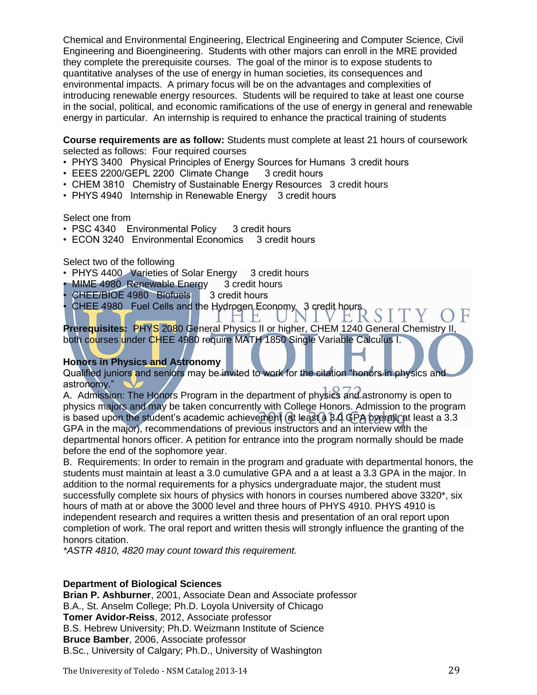Chemical and Environmental Engineering, Electrical Engineering and Computer Science, Civil Engineering and Bioengineering. Students with other majors can enroll in the MRE provided they complete the prerequisite courses. The goal of the minor is to expose students to quantitative analyses of the use of energy in human societies, its consequences and environmental impacts. A primary focus will be on the advantages and complexities of introducing renewable energy resources. Students will be required to take at least one course in the social, political, and economic ramifications of the use of energy in general and renewable energy in particular. An internship is required to enhance the practical training of students

**Course requirements are as follow:** Students must complete at least 21 hours of coursework selected as follows: Four required courses

- PHYS 3400 Physical Principles of Energy Sources for Humans 3 credit hours
- EEES 2200/GEPL 2200 Climate Change 3 credit hours
- CHEM 3810 Chemistry of Sustainable Energy Resources 3 credit hours
- PHYS 4940 Internship in Renewable Energy 3 credit hours

#### Select one from

- PSC 4340 Environmental Policy 3 credit hours
- ECON 3240 Environmental Economics 3 credit hours

Select two of the following

- PHYS 4400 Varieties of Solar Energy 3 credit hours
- MIME 4980 Renewable Energy 3 credit hours
- CHEE/BIOE 4980 Biofuels 3 credit hours
- CHEE 4980 Fuel Cells and the Hydrogen Economy 3 credit hours  $S I$ 1 H.

**Prerequisites:** PHYS 2080 General Physics II or higher, CHEM 1240 General Chemistry II, both courses under CHEE 4980 require MATH 1850 Single Variable Calculus I.

# **Honors in Physics and Astronomy**

Qualified juniors and seniors may be invited to work for the citation "honors in physics and astronomy."

A. Admission: The Honors Program in the department of physics and astronomy is open to physics majors and may be taken concurrently with College Honors. Admission to the program is based upon the student's academic achievement (at least a 3.0 GPA overall; at least a 3.3 GPA in the major), recommendations of previous instructors and an interview with the departmental honors officer. A petition for entrance into the program normally should be made before the end of the sophomore year.

B. Requirements: In order to remain in the program and graduate with departmental honors, the students must maintain at least a 3.0 cumulative GPA and a at least a 3.3 GPA in the major. In addition to the normal requirements for a physics undergraduate major, the student must successfully complete six hours of physics with honors in courses numbered above 3320\*, six hours of math at or above the 3000 level and three hours of PHYS 4910. PHYS 4910 is independent research and requires a written thesis and presentation of an oral report upon completion of work. The oral report and written thesis will strongly influence the granting of the honors citation.

*\*ASTR 4810, 4820 may count toward this requirement.* 

#### **Department of Biological Sciences**

**Brian P. Ashburner**, 2001, Associate Dean and Associate professor B.A., St. Anselm College; Ph.D. Loyola University of Chicago **Tomer Avidor-Reiss**, 2012, Associate professor B.S. Hebrew University; Ph.D. Weizmann Institute of Science **Bruce Bamber**, 2006, Associate professor B.Sc., University of Calgary; Ph.D., University of Washington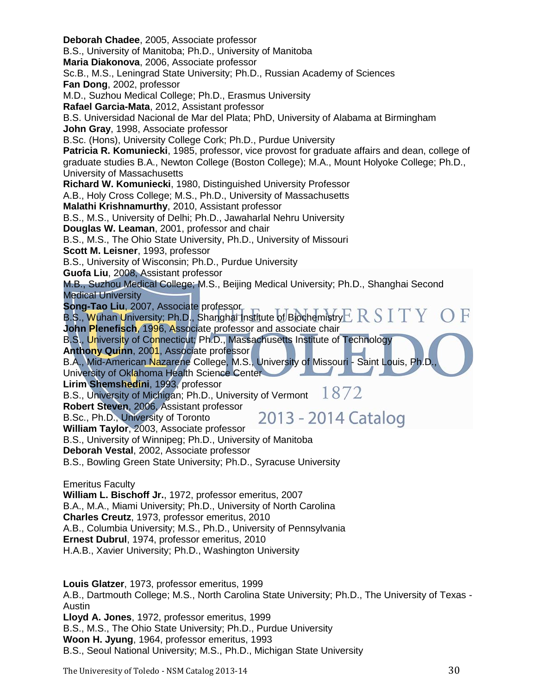**Deborah Chadee**, 2005, Associate professor B.S., University of Manitoba; Ph.D., University of Manitoba **Maria Diakonova**, 2006, Associate professor Sc.B., M.S., Leningrad State University; Ph.D., Russian Academy of Sciences **Fan Dong**, 2002, professor M.D., Suzhou Medical College; Ph.D., Erasmus University **Rafael Garcia-Mata**, 2012, Assistant professor B.S. Universidad Nacional de Mar del Plata; PhD, University of Alabama at Birmingham **John Gray**, 1998, Associate professor B.Sc. (Hons), University College Cork; Ph.D., Purdue University **Patricia R. Komuniecki**, 1985, professor, vice provost for graduate affairs and dean, college of graduate studies B.A., Newton College (Boston College); M.A., Mount Holyoke College; Ph.D., University of Massachusetts **Richard W. Komuniecki**, 1980, Distinguished University Professor A.B., Holy Cross College; M.S., Ph.D., University of Massachusetts **Malathi Krishnamurthy**, 2010, Assistant professor B.S., M.S., University of Delhi; Ph.D., Jawaharlal Nehru University **Douglas W. Leaman**, 2001, professor and chair B.S., M.S., The Ohio State University, Ph.D., University of Missouri **Scott M. Leisner**, 1993, professor B.S., University of Wisconsin; Ph.D., Purdue University **Guofa Liu**, 2008, Assistant professor M.B., Suzhou Medical College; M.S., Beijing Medical University; Ph.D., Shanghai Second Medical University **Song-Tao Liu**, 2007, Associate professor B.S., <mark>W</mark>uhan University; Ph.D., Shanghai Institute of Biochemistry $\mathop{\hbox{\rm E}}\nolimits \mathop{\hbox{\rm R}}\nolimits S$   $\rm I$ TY. **John Plenefisch**, 1996, Associate professor and associate chair B.S., University of Connecticut; Ph.D., Massachusetts Institute of Technology **Anthony Quinn**, 2001, Associate professor B.A., Mid-American Nazarene College, M.S., University of Missouri - Saint Louis, Ph.D. University of Oklahoma Health Science Center **Lirim Shemshedini**, 1993, professor B.S., University of Michigan; Ph.D., University of Vermont  $1872$ **Robert Steven**, 2006, Assistant professor 2013 - 2014 Catalog B.Sc., Ph.D., University of Toronto **William Taylor**, 2003, Associate professor B.S., University of Winnipeg; Ph.D., University of Manitoba **Deborah Vestal**, 2002, Associate professor B.S., Bowling Green State University; Ph.D., Syracuse University Emeritus Faculty **William L. Bischoff Jr.**, 1972, professor emeritus, 2007 B.A., M.A., Miami University; Ph.D., University of North Carolina **Charles Creutz**, 1973, professor emeritus, 2010 A.B., Columbia University; M.S., Ph.D., University of Pennsylvania **Ernest Dubrul**, 1974, professor emeritus, 2010 H.A.B., Xavier University; Ph.D., Washington University **Louis Glatzer**, 1973, professor emeritus, 1999 A.B., Dartmouth College; M.S., North Carolina State University; Ph.D., The University of Texas - Austin **Lloyd A. Jones**, 1972, professor emeritus, 1999

B.S., M.S., The Ohio State University; Ph.D., Purdue University **Woon H. Jyung**, 1964, professor emeritus, 1993 B.S., Seoul National University; M.S., Ph.D., Michigan State University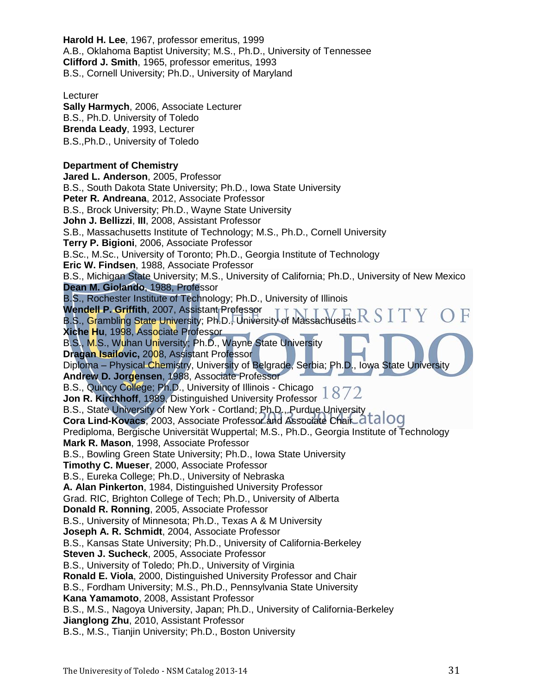**Harold H. Lee**, 1967, professor emeritus, 1999 A.B., Oklahoma Baptist University; M.S., Ph.D., University of Tennessee **Clifford J. Smith**, 1965, professor emeritus, 1993 B.S., Cornell University; Ph.D., University of Maryland

**Lecturer Sally Harmych**, 2006, Associate Lecturer B.S., Ph.D. University of Toledo **Brenda Leady**, 1993, Lecturer B.S.,Ph.D., University of Toledo

# **Department of Chemistry**

**Jared L. Anderson**, 2005, Professor B.S., South Dakota State University; Ph.D., Iowa State University **Peter R. Andreana**, 2012, Associate Professor B.S., Brock University; Ph.D., Wayne State University **John J. Bellizzi**, **III**, 2008, Assistant Professor S.B., Massachusetts Institute of Technology; M.S., Ph.D., Cornell University **Terry P. Bigioni**, 2006, Associate Professor B.Sc., M.Sc., University of Toronto; Ph.D., Georgia Institute of Technology **Eric W. Findsen**, 1988, Associate Professor B.S., Michigan State University; M.S., University of California; Ph.D., University of New Mexico **Dean M. Giolando**, 1988, Professor B.S., Rochester Institute of Technology; Ph.D., University of Illinois **Wendell P. Griffith**, 2007, Assistant Professor B.S., Grambling State University; Ph.D., University of Massachusetts **Xiche Hu**, 1998, Associate Professor B.S., M.S., Wuhan University; Ph.D., Wayne State University **Dragan Isailovic,** 2008, Assistant Professor Diploma – Physical Chemistry, University of Belgrade, Serbia; Ph.D., Iowa State University **Andrew D. Jorgensen**, 1988, Associate Professor B.S., Quincy College; Ph.D., University of Illinois - Chicago **Jon R. Kirchhoff**, 1989, Distinguished University Professor B.S., State University of New York - Cortland; Ph.D., Purdue University **Cora Lind-Kovacs**, 2003, Associate Professor and Associate Chair Prediploma, Bergische Universität Wuppertal; M.S., Ph.D., Georgia Institute of Technology **Mark R. Mason**, 1998, Associate Professor B.S., Bowling Green State University; Ph.D., Iowa State University **Timothy C. Mueser**, 2000, Associate Professor B.S., Eureka College; Ph.D., University of Nebraska **A. Alan Pinkerton**, 1984, Distinguished University Professor Grad. RIC, Brighton College of Tech; Ph.D., University of Alberta **Donald R. Ronning**, 2005, Associate Professor B.S., University of Minnesota; Ph.D., Texas A & M University **Joseph A. R. Schmidt**, 2004, Associate Professor B.S., Kansas State University; Ph.D., University of California-Berkeley **Steven J. Sucheck**, 2005, Associate Professor B.S., University of Toledo; Ph.D., University of Virginia **Ronald E. Viola**, 2000, Distinguished University Professor and Chair B.S., Fordham University; M.S., Ph.D., Pennsylvania State University **Kana Yamamoto**, 2008, Assistant Professor B.S., M.S., Nagoya University, Japan; Ph.D., University of California-Berkeley **Jianglong Zhu**, 2010, Assistant Professor B.S., M.S., Tianjin University; Ph.D., Boston University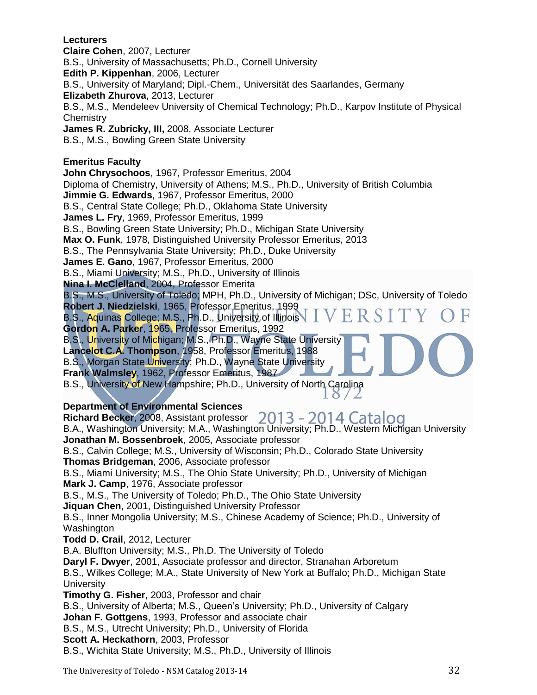**Lecturers Claire Cohen**, 2007, Lecturer B.S., University of Massachusetts; Ph.D., Cornell University **Edith P. Kippenhan**, 2006, Lecturer B.S., University of Maryland; Dipl.-Chem., Universität des Saarlandes, Germany **Elizabeth Zhurova**, 2013, Lecturer B.S., M.S., Mendeleev University of Chemical Technology; Ph.D., Karpov Institute of Physical **Chemistry James R. Zubricky, III,** 2008, Associate Lecturer B.S., M.S., Bowling Green State University **Emeritus Faculty John Chrysochoos**, 1967, Professor Emeritus, 2004 Diploma of Chemistry, University of Athens; M.S., Ph.D., University of British Columbia **Jimmie G. Edwards**, 1967, Professor Emeritus, 2000 B.S., Central State College; Ph.D., Oklahoma State University **James L. Fry**, 1969, Professor Emeritus, 1999 B.S., Bowling Green State University; Ph.D., Michigan State University **Max O. Funk**, 1978, Distinguished University Professor Emeritus, 2013 B.S., The Pennsylvania State University; Ph.D., Duke University **James E. Gano**, 1967, Professor Emeritus, 2000 B.S., Miami University; M.S., Ph.D., University of Illinois **Nina I. McClelland**, 2004, Professor Emerita B.S., M.S., University of Toledo; MPH, Ph.D., University of Michigan; DSc, University of Toledo **Robert J. Niedzielski**, 1965, Professor Emeritus, 1999 ERS B.S., Aquinas College; M.S., Ph.D., University of Illinois **Gordon A. Parker**, 1965, Professor Emeritus, 1992 B.S., University of Michigan; M.S., Ph.D., Wayne State University **Lancelot C.A. Thompson**, 1958, Professor Emeritus, 1988 B.S., Morgan State University; Ph.D., Wayne State University **Frank Walmsley**, 1962, Professor Emeritus, 1987 B.S., University of New Hampshire; Ph.D., University of North Carolina Ŏ **Department of Environmental Sciences Richard Becker**, 2008, Assistant professor 2013 - 2014 Catalog B.A., Washington University; M.A., Washington University; Ph.D., Western Michigan University **Jonathan M. Bossenbroek**, 2005, Associate professor B.S., Calvin College; M.S., University of Wisconsin; Ph.D., Colorado State University **Thomas Bridgeman**, 2006, Associate professor B.S., Miami University; M.S., The Ohio State University; Ph.D., University of Michigan **Mark J. Camp**, 1976, Associate professor B.S., M.S., The University of Toledo; Ph.D., The Ohio State University **Jiquan Chen**, 2001, Distinguished University Professor B.S., Inner Mongolia University; M.S., Chinese Academy of Science; Ph.D., University of

Washington **Todd D. Crail**, 2012, Lecturer

B.A. Bluffton University; M.S., Ph.D. The University of Toledo

**Daryl F. Dwyer**, 2001, Associate professor and director, Stranahan Arboretum

B.S., Wilkes College; M.A., State University of New York at Buffalo; Ph.D., Michigan State **University** 

**Timothy G. Fisher**, 2003, Professor and chair

B.S., University of Alberta; M.S., Queen's University; Ph.D., University of Calgary

**Johan F. Gottgens**, 1993, Professor and associate chair

B.S., M.S., Utrecht University; Ph.D., University of Florida

**Scott A. Heckathorn**, 2003, Professor

B.S., Wichita State University; M.S., Ph.D., University of Illinois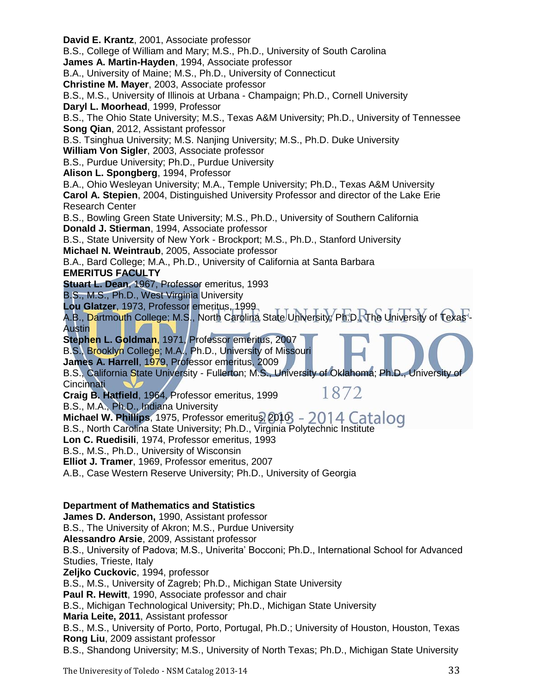**David E. Krantz**, 2001, Associate professor B.S., College of William and Mary; M.S., Ph.D., University of South Carolina **James A. Martin-Hayden**, 1994, Associate professor B.A., University of Maine; M.S., Ph.D., University of Connecticut **Christine M. Mayer**, 2003, Associate professor B.S., M.S., University of Illinois at Urbana - Champaign; Ph.D., Cornell University **Daryl L. Moorhead**, 1999, Professor B.S., The Ohio State University; M.S., Texas A&M University; Ph.D., University of Tennessee **Song Qian**, 2012, Assistant professor B.S. Tsinghua University; M.S. Nanjing University; M.S., Ph.D. Duke University **William Von Sigler**, 2003, Associate professor B.S., Purdue University; Ph.D., Purdue University **Alison L. Spongberg**, 1994, Professor B.A., Ohio Wesleyan University; M.A., Temple University; Ph.D., Texas A&M University **Carol A. Stepien**, 2004, Distinguished University Professor and director of the Lake Erie Research Center B.S., Bowling Green State University; M.S., Ph.D., University of Southern California **Donald J. Stierman**, 1994, Associate professor B.S., State University of New York - Brockport; M.S., Ph.D., Stanford University **Michael N. Weintraub**, 2005, Associate professor B.A., Bard College; M.A., Ph.D., University of California at Santa Barbara **EMERITUS FACULTY Stuart L. Dean**, 1967, Professor emeritus, 1993 B.S., M.S., Ph.D., West Virginia University **Lou Glatzer**, 1973, Professor emeritus, 1999 A.B., Dartmouth College; M.S., North Carolina State University; Ph.D.RThe University of Texas -Austin **Stephen L. Goldman**, 1971, Professor emeritus, 2007 B.S., Brooklyn College; M.A., Ph.D., University of Missouri **James A. Harrell**, 1979, Professor emeritus, 2009 B.S., California State University - Fullerton; M.S., University of Oklahoma; Ph.D., University of **Cincinnati** 1872 **Craig B. Hatfield**, 1964, Professor emeritus, 1999 B.S., M.A., Ph.D., Indiana University Michael W. Phillips, 1975, Professor emeritus, 2010 - 2014 Catalog B.S., North Carolina State University; Ph.D., Virginia Polytechnic Institute **Lon C. Ruedisili**, 1974, Professor emeritus, 1993 B.S., M.S., Ph.D., University of Wisconsin **Elliot J. Tramer**, 1969, Professor emeritus, 2007 A.B., Case Western Reserve University; Ph.D., University of Georgia **Department of Mathematics and Statistics James D. Anderson,** 1990, Assistant professor B.S., The University of Akron; M.S., Purdue University **Alessandro Arsie**, 2009, Assistant professor B.S., University of Padova; M.S., Univerita' Bocconi; Ph.D., International School for Advanced Studies, Trieste, Italy **Zeljko Cuckovic**, 1994, professor B.S., M.S., University of Zagreb; Ph.D., Michigan State University **Paul R. Hewitt**, 1990, Associate professor and chair B.S., Michigan Technological University; Ph.D., Michigan State University **Maria Leite, 2011**, Assistant professor B.S., M.S., University of Porto, Porto, Portugal, Ph.D.; University of Houston, Houston, Texas **Rong Liu**, 2009 assistant professor B.S., Shandong University; M.S., University of North Texas; Ph.D., Michigan State University The Univeresity of Toledo - NSM Catalog 2013-14 33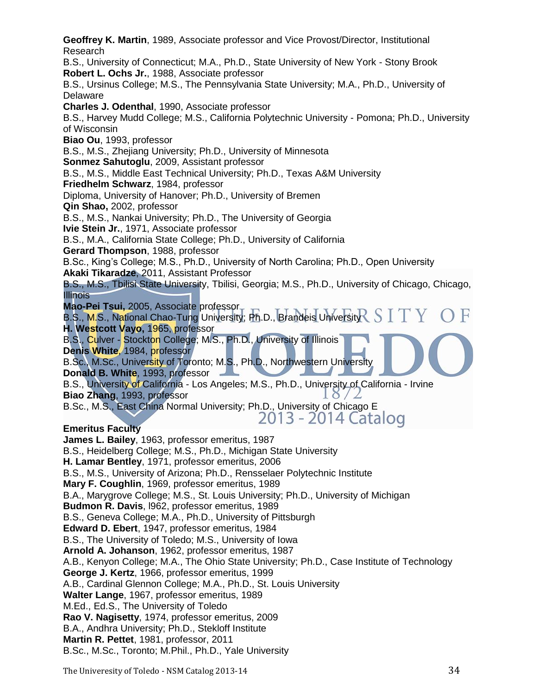**Geoffrey K. Martin**, 1989, Associate professor and Vice Provost/Director, Institutional Research B.S., University of Connecticut; M.A., Ph.D., State University of New York - Stony Brook **Robert L. Ochs Jr.**, 1988, Associate professor B.S., Ursinus College; M.S., The Pennsylvania State University; M.A., Ph.D., University of Delaware **Charles J. Odenthal**, 1990, Associate professor B.S., Harvey Mudd College; M.S., California Polytechnic University - Pomona; Ph.D., University of Wisconsin **Biao Ou**, 1993, professor B.S., M.S., Zhejiang University; Ph.D., University of Minnesota **Sonmez Sahutoglu**, 2009, Assistant professor B.S., M.S., Middle East Technical University; Ph.D., Texas A&M University **Friedhelm Schwarz**, 1984, professor Diploma, University of Hanover; Ph.D., University of Bremen **Qin Shao,** 2002, professor B.S., M.S., Nankai University; Ph.D., The University of Georgia **Ivie Stein Jr.**, 1971, Associate professor B.S., M.A., California State College; Ph.D., University of California **Gerard Thompson**, 1988, professor B.Sc., King's College; M.S., Ph.D., University of North Carolina; Ph.D., Open University **Akaki Tikaradze**, 2011, Assistant Professor B.S., M.S., Tbilisi State University, Tbilisi, Georgia; M.S., Ph.D., University of Chicago, Chicago, **Illinois Mao-Pei Tsui,** 2005, Associate professor B.S., M.S., National Chao-Tung University; Ph.D., Brandeis University $\Gamma$   $S$   $\blue{\top}$   $\blue{Y}$ **H. Westcott Vayo,** 1965, professor B.S., Culver - Stockton College; M.S., Ph.D., University of Illinois **Denis White**, 1984, professor B.Sc., M.Sc., University of Toronto; M.S., Ph.D., Northwestern University **Donald B. White**, 1993, professor B.S., University of California - Los Angeles; M.S., Ph.D., University of California - Irvine **Biao Zhang**, 1993, professor  $\delta/L$ B.Sc., M.S., East China Normal University; Ph.D., University of Chicago E 2013 - 2014 Catalog **Emeritus Faculty James L. Bailey**, 1963, professor emeritus, 1987 B.S., Heidelberg College; M.S., Ph.D., Michigan State University **H. Lamar Bentley**, 1971, professor emeritus, 2006 B.S., M.S., University of Arizona; Ph.D., Rensselaer Polytechnic Institute **Mary F. Coughlin**, 1969, professor emeritus, 1989 B.A., Marygrove College; M.S., St. Louis University; Ph.D., University of Michigan **Budmon R. Davis**, l962, professor emeritus, 1989 B.S., Geneva College; M.A., Ph.D., University of Pittsburgh **Edward D. Ebert**, 1947, professor emeritus, 1984 B.S., The University of Toledo; M.S., University of Iowa **Arnold A. Johanson**, 1962, professor emeritus, 1987 A.B., Kenyon College; M.A., The Ohio State University; Ph.D., Case Institute of Technology **George J. Kertz**, 1966, professor emeritus, 1999 A.B., Cardinal Glennon College; M.A., Ph.D., St. Louis University **Walter Lange**, 1967, professor emeritus, 1989 M.Ed., Ed.S., The University of Toledo **Rao V. Nagisetty**, 1974, professor emeritus, 2009 B.A., Andhra University; Ph.D., Stekloff Institute **Martin R. Pettet**, 1981, professor, 2011 B.Sc., M.Sc., Toronto; M.Phil., Ph.D., Yale University

The Univeresity of Toledo - NSM Catalog 2013-14 34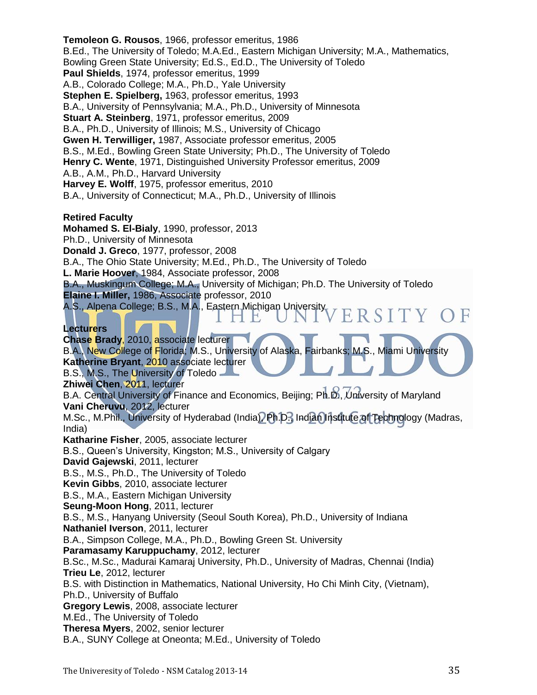**Temoleon G. Rousos**, 1966, professor emeritus, 1986 B.Ed., The University of Toledo; M.A.Ed., Eastern Michigan University; M.A., Mathematics, Bowling Green State University; Ed.S., Ed.D., The University of Toledo **Paul Shields**, 1974, professor emeritus, 1999 A.B., Colorado College; M.A., Ph.D., Yale University **Stephen E. Spielberg,** 1963, professor emeritus, 1993 B.A., University of Pennsylvania; M.A., Ph.D., University of Minnesota **Stuart A. Steinberg**, 1971, professor emeritus, 2009 B.A., Ph.D., University of Illinois; M.S., University of Chicago **Gwen H. Terwilliger,** 1987, Associate professor emeritus, 2005 B.S., M.Ed., Bowling Green State University; Ph.D., The University of Toledo **Henry C. Wente**, 1971, Distinguished University Professor emeritus, 2009 A.B., A.M., Ph.D., Harvard University **Harvey E. Wolff**, 1975, professor emeritus, 2010 B.A., University of Connecticut; M.A., Ph.D., University of Illinois **Retired Faculty Mohamed S. El-Bialy**, 1990, professor, 2013 Ph.D., University of Minnesota **Donald J. Greco**, 1977, professor, 2008 B.A., The Ohio State University; M.Ed., Ph.D., The University of Toledo **L. Marie Hoover**, 1984, Associate professor, 2008 B.A., Muskingum College; M.A., University of Michigan; Ph.D. The University of Toledo **Elaine I. Miller,** 1986, Associate professor, 2010 A.S., Alpena College; B.S., M.A., Eastern Michigan University ERSITY H E **Lecturers Chase Brady**, 2010, associate lecturer B.A., New College of Florida; M.S., University of Alaska, Fairbanks; M.S., Miami University **Katherine Bryant**, 2010 associate lecturer B.S., M.S., The University of Toledo **Zhiwei Chen**, 2011, lecturer B.A. Central University of Finance and Economics, Beijing; Ph.D., University of Maryland **Vani Cheruvu**, 2012, lecturer M.Sc., M.Phil., University of Hyderabad (India), Ph.D., Indian Institute of Technology (Madras, India) **Katharine Fisher**, 2005, associate lecturer B.S., Queen's University, Kingston; M.S., University of Calgary **David Gajewski**, 2011, lecturer B.S., M.S., Ph.D., The University of Toledo **Kevin Gibbs**, 2010, associate lecturer B.S., M.A., Eastern Michigan University **Seung-Moon Hong**, 2011, lecturer B.S., M.S., Hanyang University (Seoul South Korea), Ph.D., University of Indiana **Nathaniel Iverson**, 2011, lecturer B.A., Simpson College, M.A., Ph.D., Bowling Green St. University **Paramasamy Karuppuchamy**, 2012, lecturer B.Sc., M.Sc., Madurai Kamaraj University, Ph.D., University of Madras, Chennai (India) **Trieu Le**, 2012, lecturer B.S. with Distinction in Mathematics, National University, Ho Chi Minh City, (Vietnam), Ph.D., University of Buffalo **Gregory Lewis**, 2008, associate lecturer M.Ed., The University of Toledo **Theresa Myers**, 2002, senior lecturer B.A., SUNY College at Oneonta; M.Ed., University of Toledo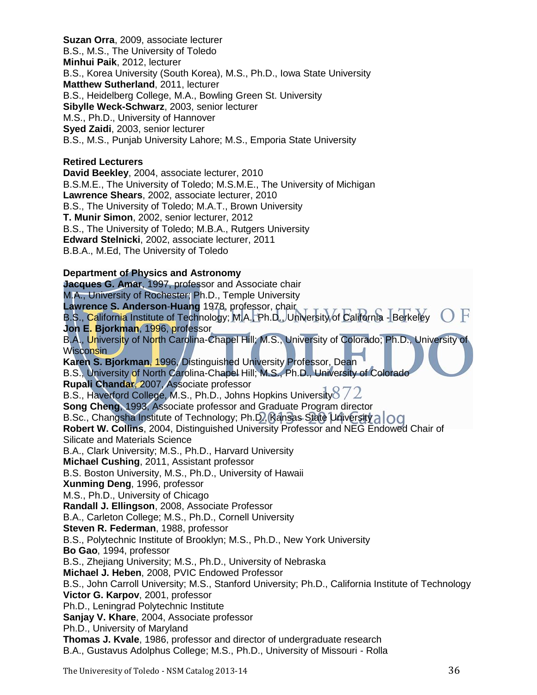**Suzan Orra**, 2009, associate lecturer B.S., M.S., The University of Toledo **Minhui Paik**, 2012, lecturer B.S., Korea University (South Korea), M.S., Ph.D., Iowa State University **Matthew Sutherland**, 2011, lecturer B.S., Heidelberg College, M.A., Bowling Green St. University **Sibylle Weck-Schwarz**, 2003, senior lecturer M.S., Ph.D., University of Hannover **Syed Zaidi**, 2003, senior lecturer B.S., M.S., Punjab University Lahore; M.S., Emporia State University

# **Retired Lecturers**

**David Beekley**, 2004, associate lecturer, 2010 B.S.M.E., The University of Toledo; M.S.M.E., The University of Michigan **Lawrence Shears**, 2002, associate lecturer, 2010 B.S., The University of Toledo; M.A.T., Brown University **T. Munir Simon**, 2002, senior lecturer, 2012 B.S., The University of Toledo; M.B.A., Rutgers University **Edward Stelnicki**, 2002, associate lecturer, 2011 B.B.A., M.Ed, The University of Toledo

# **Department of Physics and Astronomy**

**Jacques G. Amar**, 1997, professor and Associate chair M.A., University of Rochester; Ph.D., Temple University **Lawrence S. Anderson**-**Huang** 1978, professor, chair B.S., California Institute of Technology; M.A., Ph.D., University of California - Berkeley **Jon E. Bjorkman**, 1996, professor B.A., University of North Carolina-Chapel Hill; M.S., University of Colorado; Ph.D., University of **Wisconsin Karen S. Bjorkman**, 1996, Distinguished University Professor, Dean B.S., University of North Carolina-Chapel Hill; M.S., Ph.D., University of Colorado **Rupali Chandar**, 2007, Associate professor B.S., Haverford College, M.S., Ph.D., Johns Hopkins University  $\sqrt{2}$ **Song Cheng**, 1993, Associate professor and Graduate Program director B.Sc., Changsha Institute of Technology; Ph.D., Kansas State University a CO **Robert W. Collins**, 2004, Distinguished University Professor and NEG Endowed Chair of Silicate and Materials Science B.A., Clark University; M.S., Ph.D., Harvard University **Michael Cushing**, 2011, Assistant professor B.S. Boston University, M.S., Ph.D., University of Hawaii **Xunming Deng**, 1996, professor M.S., Ph.D., University of Chicago **Randall J. Ellingson**, 2008, Associate Professor B.A., Carleton College; M.S., Ph.D., Cornell University **Steven R. Federman**, 1988, professor B.S., Polytechnic Institute of Brooklyn; M.S., Ph.D., New York University **Bo Gao**, 1994, professor B.S., Zhejiang University; M.S., Ph.D., University of Nebraska **Michael J. Heben**, 2008, PVIC Endowed Professor B.S., John Carroll University; M.S., Stanford University; Ph.D., California Institute of Technology **Victor G. Karpov**, 2001, professor Ph.D., Leningrad Polytechnic Institute **Sanjay V. Khare**, 2004, Associate professor Ph.D., University of Maryland **Thomas J. Kvale**, 1986, professor and director of undergraduate research B.A., Gustavus Adolphus College; M.S., Ph.D., University of Missouri - Rolla